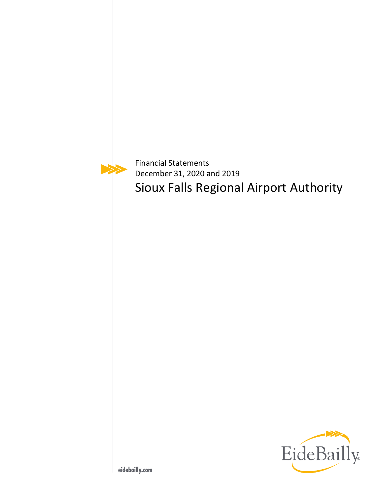Financial Statements December 31, 2020 and 2019 Sioux Falls Regional Airport Authority

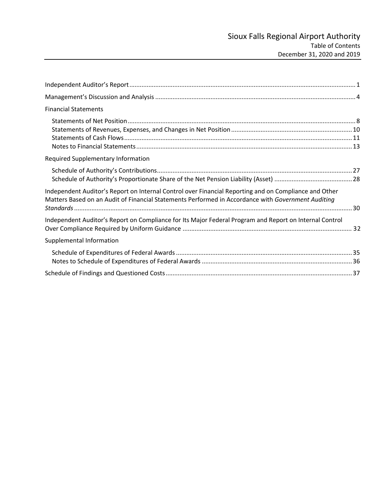| <b>Financial Statements</b>                                                                                                                                                                                 |
|-------------------------------------------------------------------------------------------------------------------------------------------------------------------------------------------------------------|
|                                                                                                                                                                                                             |
| Required Supplementary Information                                                                                                                                                                          |
|                                                                                                                                                                                                             |
| Independent Auditor's Report on Internal Control over Financial Reporting and on Compliance and Other<br>Matters Based on an Audit of Financial Statements Performed in Accordance with Government Auditing |
| Independent Auditor's Report on Compliance for Its Major Federal Program and Report on Internal Control                                                                                                     |
| Supplemental Information                                                                                                                                                                                    |
|                                                                                                                                                                                                             |
|                                                                                                                                                                                                             |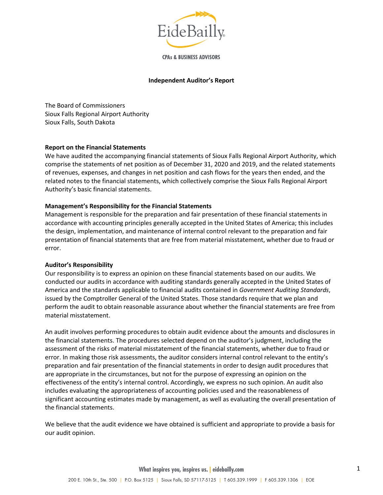

**CPAs & BUSINESS ADVISORS** 

#### **Independent Auditor's Report**

<span id="page-2-0"></span>The Board of Commissioners Sioux Falls Regional Airport Authority Sioux Falls, South Dakota

#### **Report on the Financial Statements**

We have audited the accompanying financial statements of Sioux Falls Regional Airport Authority, which comprise the statements of net position as of December 31, 2020 and 2019, and the related statements of revenues, expenses, and changes in net position and cash flows for the years then ended, and the related notes to the financial statements, which collectively comprise the Sioux Falls Regional Airport Authority's basic financial statements.

#### **Management's Responsibility for the Financial Statements**

Management is responsible for the preparation and fair presentation of these financial statements in accordance with accounting principles generally accepted in the United States of America; this includes the design, implementation, and maintenance of internal control relevant to the preparation and fair presentation of financial statements that are free from material misstatement, whether due to fraud or error.

#### **Auditor's Responsibility**

Our responsibility is to express an opinion on these financial statements based on our audits. We conducted our audits in accordance with auditing standards generally accepted in the United States of America and the standards applicable to financial audits contained in *Government Auditing Standards*, issued by the Comptroller General of the United States. Those standards require that we plan and perform the audit to obtain reasonable assurance about whether the financial statements are free from material misstatement.

An audit involves performing procedures to obtain audit evidence about the amounts and disclosures in the financial statements. The procedures selected depend on the auditor's judgment, including the assessment of the risks of material misstatement of the financial statements, whether due to fraud or error. In making those risk assessments, the auditor considers internal control relevant to the entity's preparation and fair presentation of the financial statements in order to design audit procedures that are appropriate in the circumstances, but not for the purpose of expressing an opinion on the effectiveness of the entity's internal control. Accordingly, we express no such opinion. An audit also includes evaluating the appropriateness of accounting policies used and the reasonableness of significant accounting estimates made by management, as well as evaluating the overall presentation of the financial statements.

We believe that the audit evidence we have obtained is sufficient and appropriate to provide a basis for our audit opinion.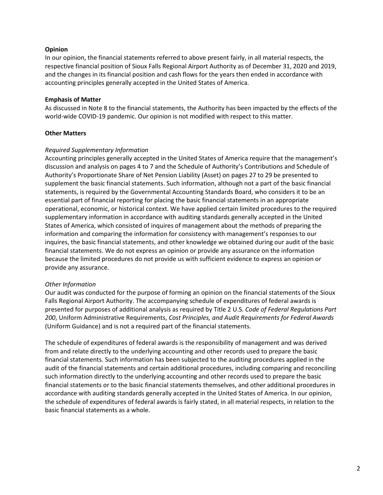### **Opinion**

In our opinion, the financial statements referred to above present fairly, in all material respects, the respective financial position of Sioux Falls Regional Airport Authority as of December 31, 2020 and 2019, and the changes in its financial position and cash flows for the years then ended in accordance with accounting principles generally accepted in the United States of America.

#### **Emphasis of Matter**

As discussed in Note 8 to the financial statements, the Authority has been impacted by the effects of the world-wide COVID-19 pandemic. Our opinion is not modified with respect to this matter.

#### **Other Matters**

#### *Required Supplementary Information*

Accounting principles generally accepted in the United States of America require that the management's discussion and analysis on pages 4 to 7 and the Schedule of Authority's Contributions and Schedule of Authority's Proportionate Share of Net Pension Liability (Asset) on pages 27 to 29 be presented to supplement the basic financial statements. Such information, although not a part of the basic financial statements, is required by the Governmental Accounting Standards Board, who considers it to be an essential part of financial reporting for placing the basic financial statements in an appropriate operational, economic, or historical context. We have applied certain limited procedures to the required supplementary information in accordance with auditing standards generally accepted in the United States of America, which consisted of inquires of management about the methods of preparing the information and comparing the information for consistency with management's responses to our inquires, the basic financial statements, and other knowledge we obtained during our audit of the basic financial statements. We do not express an opinion or provide any assurance on the information because the limited procedures do not provide us with sufficient evidence to express an opinion or provide any assurance.

### *Other Information*

Our audit was conducted for the purpose of forming an opinion on the financial statements of the Sioux Falls Regional Airport Authority. The accompanying schedule of expenditures of federal awards is presented for purposes of additional analysis as required by Title 2 U.S. *Code of Federal Regulations Part 200*, Uniform Administrative Requirements, *Cost Principles, and Audit Requirements for Federal Awards* (Uniform Guidance) and is not a required part of the financial statements.

The schedule of expenditures of federal awards is the responsibility of management and was derived from and relate directly to the underlying accounting and other records used to prepare the basic financial statements. Such information has been subjected to the auditing procedures applied in the audit of the financial statements and certain additional procedures, including comparing and reconciling such information directly to the underlying accounting and other records used to prepare the basic financial statements or to the basic financial statements themselves, and other additional procedures in accordance with auditing standards generally accepted in the United States of America. In our opinion, the schedule of expenditures of federal awards is fairly stated, in all material respects, in relation to the basic financial statements as a whole.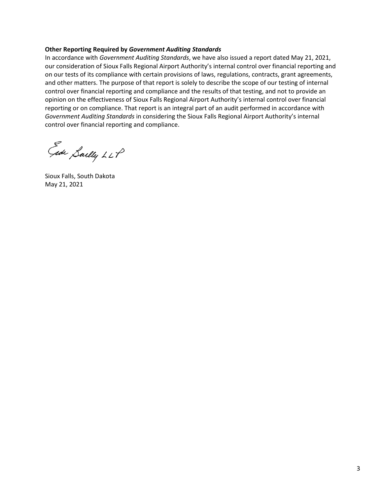#### **Other Reporting Required by** *Government Auditing Standards*

In accordance with *Government Auditing Standards*, we have also issued a report dated May 21, 2021, our consideration of Sioux Falls Regional Airport Authority's internal control over financial reporting and on our tests of its compliance with certain provisions of laws, regulations, contracts, grant agreements, and other matters. The purpose of that report is solely to describe the scope of our testing of internal control over financial reporting and compliance and the results of that testing, and not to provide an opinion on the effectiveness of Sioux Falls Regional Airport Authority's internal control over financial reporting or on compliance. That report is an integral part of an audit performed in accordance with *Government Auditing Standards* in considering the Sioux Falls Regional Airport Authority's internal control over financial reporting and compliance.

Ede Sailly LLP

Sioux Falls, South Dakota May 21, 2021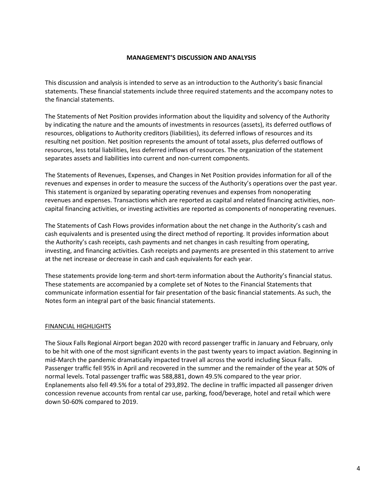#### **MANAGEMENT'S DISCUSSION AND ANALYSIS**

<span id="page-5-0"></span>This discussion and analysis is intended to serve as an introduction to the Authority's basic financial statements. These financial statements include three required statements and the accompany notes to the financial statements.

The Statements of Net Position provides information about the liquidity and solvency of the Authority by indicating the nature and the amounts of investments in resources (assets), its deferred outflows of resources, obligations to Authority creditors (liabilities), its deferred inflows of resources and its resulting net position. Net position represents the amount of total assets, plus deferred outflows of resources, less total liabilities, less deferred inflows of resources. The organization of the statement separates assets and liabilities into current and non-current components.

The Statements of Revenues, Expenses, and Changes in Net Position provides information for all of the revenues and expenses in order to measure the success of the Authority's operations over the past year. This statement is organized by separating operating revenues and expenses from nonoperating revenues and expenses. Transactions which are reported as capital and related financing activities, noncapital financing activities, or investing activities are reported as components of nonoperating revenues.

The Statements of Cash Flows provides information about the net change in the Authority's cash and cash equivalents and is presented using the direct method of reporting. It provides information about the Authority's cash receipts, cash payments and net changes in cash resulting from operating, investing, and financing activities. Cash receipts and payments are presented in this statement to arrive at the net increase or decrease in cash and cash equivalents for each year.

These statements provide long-term and short-term information about the Authority's financial status. These statements are accompanied by a complete set of Notes to the Financial Statements that communicate information essential for fair presentation of the basic financial statements. As such, the Notes form an integral part of the basic financial statements.

### FINANCIAL HIGHLIGHTS

The Sioux Falls Regional Airport began 2020 with record passenger traffic in January and February, only to be hit with one of the most significant events in the past twenty years to impact aviation. Beginning in mid-March the pandemic dramatically impacted travel all across the world including Sioux Falls. Passenger traffic fell 95% in April and recovered in the summer and the remainder of the year at 50% of normal levels. Total passenger traffic was 588,881, down 49.5% compared to the year prior. Enplanements also fell 49.5% for a total of 293,892. The decline in traffic impacted all passenger driven concession revenue accounts from rental car use, parking, food/beverage, hotel and retail which were down 50-60% compared to 2019.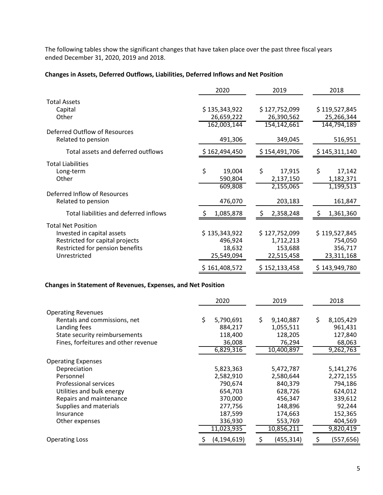The following tables show the significant changes that have taken place over the past three fiscal years ended December 31, 2020, 2019 and 2018.

### **Changes in Assets, Deferred Outflows, Liabilities, Deferred Inflows and Net Position**

|                                                     | 2020          | 2019          | 2018          |
|-----------------------------------------------------|---------------|---------------|---------------|
| <b>Total Assets</b>                                 |               |               |               |
| Capital                                             | \$135,343,922 | \$127,752,099 | \$119,527,845 |
| Other                                               | 26,659,222    | 26,390,562    | 25,266,344    |
|                                                     | 162,003,144   | 154,142,661   | 144,794,189   |
| Deferred Outflow of Resources<br>Related to pension | 491,306       | 349,045       | 516,951       |
| Total assets and deferred outflows                  | \$162,494,450 | \$154,491,706 | \$145,311,140 |
| <b>Total Liabilities</b>                            |               |               |               |
| Long-term                                           | \$<br>19,004  | \$<br>17,915  | \$<br>17,142  |
| Other                                               | 590,804       | 2,137,150     | 1,182,371     |
|                                                     | 609,808       | 2,155,065     | 1,199,513     |
| Deferred Inflow of Resources                        |               |               |               |
| Related to pension                                  | 476,070       | 203,183       | 161,847       |
| Total liabilities and deferred inflows              | 1,085,878     | 2,358,248     | 1,361,360     |
| <b>Total Net Position</b>                           |               |               |               |
| Invested in capital assets                          | \$135,343,922 | \$127,752,099 | \$119,527,845 |
| Restricted for capital projects                     | 496,924       | 1,712,213     | 754,050       |
| Restricted for pension benefits                     | 18,632        | 153,688       | 356,717       |
| Unrestricted                                        | 25,549,094    | 22,515,458    | 23,311,168    |
|                                                     | \$161,408,572 | \$152,133,458 | \$143,949,780 |

#### **Changes in Statement of Revenues, Expenses, and Net Position**

|                                                                       | 2020<br>2019      |     |                   | 2018 |                   |
|-----------------------------------------------------------------------|-------------------|-----|-------------------|------|-------------------|
| <b>Operating Revenues</b><br>Rentals and commissions, net             | \$<br>5,790,691   | \$. | 9,140,887         | \$   | 8,105,429         |
| Landing fees                                                          | 884,217           |     | 1,055,511         |      | 961,431           |
| State security reimbursements<br>Fines, forfeitures and other revenue | 118,400<br>36,008 |     | 128,205<br>76,294 |      | 127,840<br>68,063 |
|                                                                       | 6,829,316         |     | 10,400,897        |      | 9,262,763         |
| <b>Operating Expenses</b>                                             |                   |     |                   |      |                   |
| Depreciation                                                          | 5,823,363         |     | 5,472,787         |      | 5,141,276         |
| Personnel                                                             | 2,582,910         |     | 2,580,644         |      | 2,272,155         |
| <b>Professional services</b>                                          | 790,674           |     | 840,379           |      | 794,186           |
| Utilities and bulk energy                                             | 654,703           |     | 628,726           |      | 624,012           |
| Repairs and maintenance                                               | 370,000           |     | 456,347           |      | 339,612           |
| Supplies and materials                                                | 277,756           |     | 148,896           |      | 92,244            |
| Insurance                                                             | 187,599           |     | 174,663           |      | 152,365           |
| Other expenses                                                        | 336,930           |     | 553,769           |      | 404,569           |
|                                                                       | 11,023,935        |     | 10,856,211        |      | 9,820,419         |
| <b>Operating Loss</b>                                                 | (4, 194, 619)     |     | (455,314)         |      | (557, 656)        |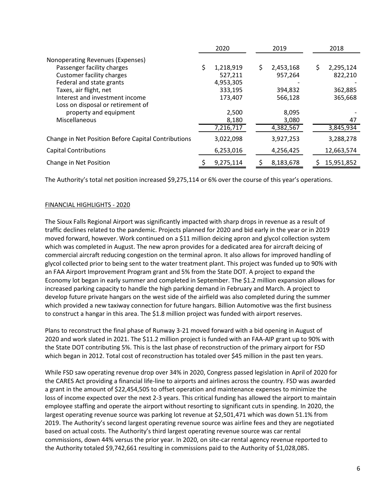|                                                     | 2020<br>2019 |           | 2018            |    |            |
|-----------------------------------------------------|--------------|-----------|-----------------|----|------------|
| Nonoperating Revenues (Expenses)                    |              |           |                 |    |            |
| Passenger facility charges                          | \$           | 1,218,919 | \$<br>2,453,168 | \$ | 2,295,124  |
| <b>Customer facility charges</b>                    |              | 527,211   | 957,264         |    | 822,210    |
| Federal and state grants                            |              | 4,953,305 |                 |    |            |
| Taxes, air flight, net                              |              | 333,195   | 394,832         |    | 362,885    |
| Interest and investment income                      |              | 173,407   | 566,128         |    | 365,668    |
| Loss on disposal or retirement of                   |              |           |                 |    |            |
| property and equipment                              |              | 2,500     | 8,095           |    |            |
| Miscellaneous                                       |              | 8,180     | 3,080           |    | 47         |
|                                                     |              | 7,216,717 | 4,382,567       |    | 3,845,934  |
| Change in Net Position Before Capital Contributions |              | 3,022,098 | 3,927,253       |    | 3,288,278  |
| <b>Capital Contributions</b>                        |              | 6,253,016 | 4,256,425       |    | 12,663,574 |
| Change in Net Position                              |              | 9,275,114 | 8,183,678       |    | 15,951,852 |

The Authority's total net position increased \$9,275,114 or 6% over the course of this year's operations.

### FINANCIAL HIGHLIGHTS - 2020

The Sioux Falls Regional Airport was significantly impacted with sharp drops in revenue as a result of traffic declines related to the pandemic. Projects planned for 2020 and bid early in the year or in 2019 moved forward, however. Work continued on a \$11 million deicing apron and glycol collection system which was completed in August. The new apron provides for a dedicated area for aircraft deicing of commercial aircraft reducing congestion on the terminal apron. It also allows for improved handling of glycol collected prior to being sent to the water treatment plant. This project was funded up to 90% with an FAA Airport Improvement Program grant and 5% from the State DOT. A project to expand the Economy lot began in early summer and completed in September. The \$1.2 million expansion allows for increased parking capacity to handle the high parking demand in February and March. A project to develop future private hangars on the west side of the airfield was also completed during the summer which provided a new taxiway connection for future hangars. Billion Automotive was the first business to construct a hangar in this area. The \$1.8 million project was funded with airport reserves.

Plans to reconstruct the final phase of Runway 3-21 moved forward with a bid opening in August of 2020 and work slated in 2021. The \$11.2 million project is funded with an FAA-AIP grant up to 90% with the State DOT contributing 5%. This is the last phase of reconstruction of the primary airport for FSD which began in 2012. Total cost of reconstruction has totaled over \$45 million in the past ten years.

While FSD saw operating revenue drop over 34% in 2020, Congress passed legislation in April of 2020 for the CARES Act providing a financial life-line to airports and airlines across the country. FSD was awarded a grant in the amount of \$22,454,505 to offset operation and maintenance expenses to minimize the loss of income expected over the next 2-3 years. This critical funding has allowed the airport to maintain employee staffing and operate the airport without resorting to significant cuts in spending. In 2020, the largest operating revenue source was parking lot revenue at \$2,501,471 which was down 51.1% from 2019. The Authority's second largest operating revenue source was airline fees and they are negotiated based on actual costs. The Authority's third largest operating revenue source was car rental commissions, down 44% versus the prior year. In 2020, on site-car rental agency revenue reported to the Authority totaled \$9,742,661 resulting in commissions paid to the Authority of \$1,028,085.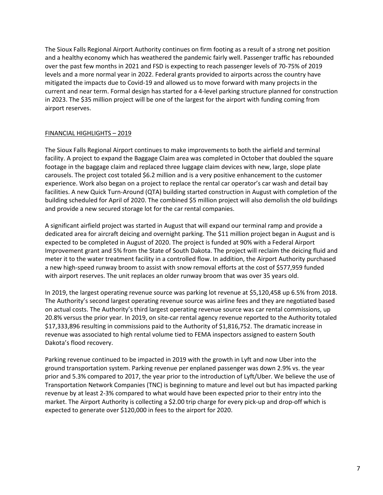The Sioux Falls Regional Airport Authority continues on firm footing as a result of a strong net position and a healthy economy which has weathered the pandemic fairly well. Passenger traffic has rebounded over the past few months in 2021 and FSD is expecting to reach passenger levels of 70-75% of 2019 levels and a more normal year in 2022. Federal grants provided to airports across the country have mitigated the impacts due to Covid-19 and allowed us to move forward with many projects in the current and near term. Formal design has started for a 4-level parking structure planned for construction in 2023. The \$35 million project will be one of the largest for the airport with funding coming from airport reserves.

### FINANCIAL HIGHLIGHTS – 2019

The Sioux Falls Regional Airport continues to make improvements to both the airfield and terminal facility. A project to expand the Baggage Claim area was completed in October that doubled the square footage in the baggage claim and replaced three luggage claim devices with new, large, slope plate carousels. The project cost totaled \$6.2 million and is a very positive enhancement to the customer experience. Work also began on a project to replace the rental car operator's car wash and detail bay facilities. A new Quick Turn-Around (QTA) building started construction in August with completion of the building scheduled for April of 2020. The combined \$5 million project will also demolish the old buildings and provide a new secured storage lot for the car rental companies.

A significant airfield project was started in August that will expand our terminal ramp and provide a dedicated area for aircraft deicing and overnight parking. The \$11 million project began in August and is expected to be completed in August of 2020. The project is funded at 90% with a Federal Airport Improvement grant and 5% from the State of South Dakota. The project will reclaim the deicing fluid and meter it to the water treatment facility in a controlled flow. In addition, the Airport Authority purchased a new high-speed runway broom to assist with snow removal efforts at the cost of \$577,959 funded with airport reserves. The unit replaces an older runway broom that was over 35 years old.

In 2019, the largest operating revenue source was parking lot revenue at \$5,120,458 up 6.5% from 2018. The Authority's second largest operating revenue source was airline fees and they are negotiated based on actual costs. The Authority's third largest operating revenue source was car rental commissions, up 20.8% versus the prior year. In 2019, on site-car rental agency revenue reported to the Authority totaled \$17,333,896 resulting in commissions paid to the Authority of \$1,816,752. The dramatic increase in revenue was associated to high rental volume tied to FEMA inspectors assigned to eastern South Dakota's flood recovery.

Parking revenue continued to be impacted in 2019 with the growth in Lyft and now Uber into the ground transportation system. Parking revenue per enplaned passenger was down 2.9% vs. the year prior and 5.3% compared to 2017, the year prior to the introduction of Lyft/Uber. We believe the use of Transportation Network Companies (TNC) is beginning to mature and level out but has impacted parking revenue by at least 2-3% compared to what would have been expected prior to their entry into the market. The Airport Authority is collecting a \$2.00 trip charge for every pick-up and drop-off which is expected to generate over \$120,000 in fees to the airport for 2020.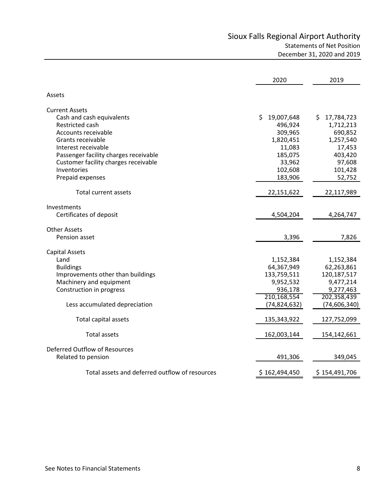# Sioux Falls Regional Airport Authority Statements of Net Position December 31, 2020 and 2019

<span id="page-9-1"></span><span id="page-9-0"></span>

|                                                | 2020             | 2019             |
|------------------------------------------------|------------------|------------------|
| Assets                                         |                  |                  |
| <b>Current Assets</b>                          |                  |                  |
| Cash and cash equivalents                      | \$<br>19,007,648 | \$<br>17,784,723 |
| Restricted cash                                | 496,924          | 1,712,213        |
| Accounts receivable                            | 309,965          | 690,852          |
| Grants receivable                              | 1,820,451        | 1,257,540        |
| Interest receivable                            | 11,083           | 17,453           |
| Passenger facility charges receivable          | 185,075          | 403,420          |
| Customer facility charges receivable           | 33,962           | 97,608           |
| Inventories                                    | 102,608          | 101,428          |
| Prepaid expenses                               | 183,906          | 52,752           |
| Total current assets                           | 22,151,622       | 22,117,989       |
| Investments                                    |                  |                  |
| Certificates of deposit                        | 4,504,204        | 4,264,747        |
| <b>Other Assets</b>                            |                  |                  |
| Pension asset                                  | 3,396            | 7,826            |
| <b>Capital Assets</b>                          |                  |                  |
| Land                                           | 1,152,384        | 1,152,384        |
| <b>Buildings</b>                               | 64,367,949       | 62,263,861       |
| Improvements other than buildings              | 133,759,511      | 120,187,517      |
| Machinery and equipment                        | 9,952,532        | 9,477,214        |
| Construction in progress                       | 936,178          | 9,277,463        |
|                                                | 210,168,554      | 202,358,439      |
| Less accumulated depreciation                  | (74, 824, 632)   | (74, 606, 340)   |
| Total capital assets                           | 135, 343, 922    | 127,752,099      |
| <b>Total assets</b>                            | 162,003,144      | 154,142,661      |
|                                                |                  |                  |
| Deferred Outflow of Resources                  |                  |                  |
| Related to pension                             | 491,306          | 349,045          |
| Total assets and deferred outflow of resources | \$162,494,450    | \$154,491,706    |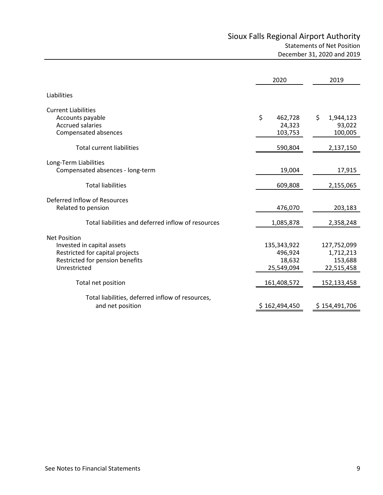|                                                                                                                                         | 2020                                           | 2019                                              |
|-----------------------------------------------------------------------------------------------------------------------------------------|------------------------------------------------|---------------------------------------------------|
| Liabilities                                                                                                                             |                                                |                                                   |
| <b>Current Liabilities</b><br>Accounts payable<br><b>Accrued salaries</b><br>Compensated absences                                       | \$<br>462,728<br>24,323<br>103,753             | \$<br>1,944,123<br>93,022<br>100,005              |
| <b>Total current liabilities</b>                                                                                                        | 590,804                                        | 2,137,150                                         |
| Long-Term Liabilities<br>Compensated absences - long-term<br><b>Total liabilities</b>                                                   | 19,004<br>609,808                              | 17,915<br>2,155,065                               |
|                                                                                                                                         |                                                |                                                   |
| Deferred Inflow of Resources<br>Related to pension                                                                                      | 476,070                                        | 203,183                                           |
| Total liabilities and deferred inflow of resources                                                                                      | 1,085,878                                      | 2,358,248                                         |
| <b>Net Position</b><br>Invested in capital assets<br>Restricted for capital projects<br>Restricted for pension benefits<br>Unrestricted | 135,343,922<br>496,924<br>18,632<br>25,549,094 | 127,752,099<br>1,712,213<br>153,688<br>22,515,458 |
| Total net position                                                                                                                      | 161,408,572                                    | 152,133,458                                       |
| Total liabilities, deferred inflow of resources,<br>and net position                                                                    | \$162,494,450                                  | \$154,491,706                                     |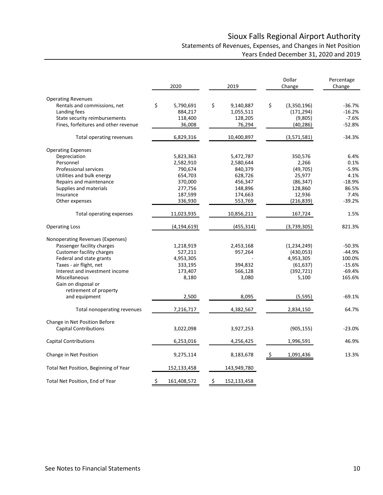# Sioux Falls Regional Airport Authority

# Statements of Revenues, Expenses, and Changes in Net Position

| Years Ended December 31, 2020 and 2019 |  |
|----------------------------------------|--|
|----------------------------------------|--|

<span id="page-11-0"></span>

|                                       | 2020              | 2019              |    | Dollar<br>Change | Percentage<br>Change |
|---------------------------------------|-------------------|-------------------|----|------------------|----------------------|
| <b>Operating Revenues</b>             |                   |                   |    |                  |                      |
| Rentals and commissions, net          | \$<br>5,790,691   | \$<br>9,140,887   | \$ | (3,350,196)      | $-36.7%$             |
| Landing fees                          | 884,217           | 1,055,511         |    | (171, 294)       | $-16.2%$             |
| State security reimbursements         | 118,400           | 128,205           |    | (9,805)          | $-7.6%$              |
| Fines, forfeitures and other revenue  | 36,008            | 76,294            |    | (40, 286)        | $-52.8%$             |
| Total operating revenues              | 6,829,316         | 10,400,897        |    | (3,571,581)      | $-34.3%$             |
| <b>Operating Expenses</b>             |                   |                   |    |                  |                      |
| Depreciation                          | 5,823,363         | 5,472,787         |    | 350,576          | 6.4%                 |
| Personnel                             | 2,582,910         | 2,580,644         |    | 2,266            | 0.1%                 |
| <b>Professional services</b>          | 790,674           | 840,379           |    | (49, 705)        | $-5.9%$              |
| Utilities and bulk energy             | 654,703           | 628,726           |    | 25,977           | 4.1%                 |
| Repairs and maintenance               | 370,000           | 456,347           |    | (86, 347)        | $-18.9%$             |
| Supplies and materials                | 277,756           | 148,896           |    | 128,860          | 86.5%                |
| Insurance                             | 187,599           | 174,663           |    | 12,936           | 7.4%                 |
| Other expenses                        | 336,930           | 553,769           |    | (216, 839)       | $-39.2%$             |
| Total operating expenses              | 11,023,935        | 10,856,211        |    | 167,724          | 1.5%                 |
| <b>Operating Loss</b>                 | (4, 194, 619)     | (455, 314)        |    | (3,739,305)      | 821.3%               |
| Nonoperating Revenues (Expenses)      |                   |                   |    |                  |                      |
| Passenger facility charges            | 1,218,919         | 2,453,168         |    | (1, 234, 249)    | $-50.3%$             |
| <b>Customer facility charges</b>      | 527,211           | 957,264           |    | (430, 053)       | $-44.9%$             |
| Federal and state grants              | 4,953,305         |                   |    | 4,953,305        | 100.0%               |
| Taxes - air flight, net               | 333,195           | 394,832           |    | (61, 637)        | $-15.6%$             |
| Interest and investment income        | 173,407           | 566,128           |    | (392, 721)       | $-69.4%$             |
| Miscellaneous                         | 8,180             | 3,080             |    | 5,100            | 165.6%               |
| Gain on disposal or                   |                   |                   |    |                  |                      |
| retirement of property                |                   |                   |    |                  |                      |
| and equipment                         | 2,500             | 8,095             |    | (5, 595)         | $-69.1%$             |
| Total nonoperating revenues           | 7,216,717         | 4,382,567         |    | 2,834,150        | 64.7%                |
| Change in Net Position Before         |                   |                   |    |                  |                      |
| <b>Capital Contributions</b>          | 3,022,098         | 3,927,253         |    | (905, 155)       | $-23.0%$             |
| <b>Capital Contributions</b>          | 6,253,016         | 4,256,425         |    | 1,996,591        | 46.9%                |
| Change in Net Position                | 9,275,114         | 8,183,678         | S. | 1,091,436        | 13.3%                |
| Total Net Position, Beginning of Year | 152,133,458       | 143,949,780       |    |                  |                      |
| Total Net Position, End of Year       | \$<br>161,408,572 | \$<br>152,133,458 |    |                  |                      |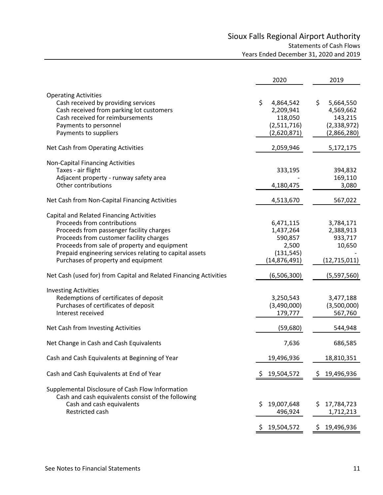# Sioux Falls Regional Airport Authority Statements of Cash Flows Years Ended December 31, 2020 and 2019

<span id="page-12-0"></span>

|                                                                                                                                                                                                                                                                                                                         | 2020                                                                       | 2019                                                                   |
|-------------------------------------------------------------------------------------------------------------------------------------------------------------------------------------------------------------------------------------------------------------------------------------------------------------------------|----------------------------------------------------------------------------|------------------------------------------------------------------------|
| <b>Operating Activities</b><br>Cash received by providing services<br>Cash received from parking lot customers<br>Cash received for reimbursements<br>Payments to personnel<br>Payments to suppliers                                                                                                                    | \$<br>4,864,542<br>2,209,941<br>118,050<br>(2,511,716)<br>(2,620,871)      | \$.<br>5,664,550<br>4,569,662<br>143,215<br>(2,338,972)<br>(2,866,280) |
| Net Cash from Operating Activities                                                                                                                                                                                                                                                                                      | 2,059,946                                                                  | 5,172,175                                                              |
| <b>Non-Capital Financing Activities</b><br>Taxes - air flight<br>Adjacent property - runway safety area<br>Other contributions                                                                                                                                                                                          | 333,195<br>4,180,475                                                       | 394,832<br>169,110<br>3,080                                            |
| Net Cash from Non-Capital Financing Activities                                                                                                                                                                                                                                                                          | 4,513,670                                                                  | 567,022                                                                |
| <b>Capital and Related Financing Activities</b><br>Proceeds from contributions<br>Proceeds from passenger facility charges<br>Proceeds from customer facility charges<br>Proceeds from sale of property and equipment<br>Prepaid engineering services relating to capital assets<br>Purchases of property and equipment | 6,471,115<br>1,437,264<br>590,857<br>2,500<br>(131, 545)<br>(14, 876, 491) | 3,784,171<br>2,388,913<br>933,717<br>10,650<br>(12, 715, 011)          |
| Net Cash (used for) from Capital and Related Financing Activities                                                                                                                                                                                                                                                       | (6,506,300)                                                                | (5,597,560)                                                            |
| <b>Investing Activities</b><br>Redemptions of certificates of deposit<br>Purchases of certificates of deposit<br>Interest received                                                                                                                                                                                      | 3,250,543<br>(3,490,000)<br>179,777                                        | 3,477,188<br>(3,500,000)<br>567,760                                    |
| Net Cash from Investing Activities                                                                                                                                                                                                                                                                                      | (59, 680)                                                                  | 544,948                                                                |
| Net Change in Cash and Cash Equivalents                                                                                                                                                                                                                                                                                 | 7,636                                                                      | 686,585                                                                |
| Cash and Cash Equivalents at Beginning of Year                                                                                                                                                                                                                                                                          | 19,496,936                                                                 | 18,810,351                                                             |
| Cash and Cash Equivalents at End of Year                                                                                                                                                                                                                                                                                | 19,504,572                                                                 | 19,496,936<br>Ş.                                                       |
| Supplemental Disclosure of Cash Flow Information<br>Cash and cash equivalents consist of the following<br>Cash and cash equivalents<br>Restricted cash                                                                                                                                                                  | 19,007,648<br>\$<br>496,924<br>19,504,572<br>\$.                           | 17,784,723<br>\$<br>1,712,213<br>19,496,936<br>\$.                     |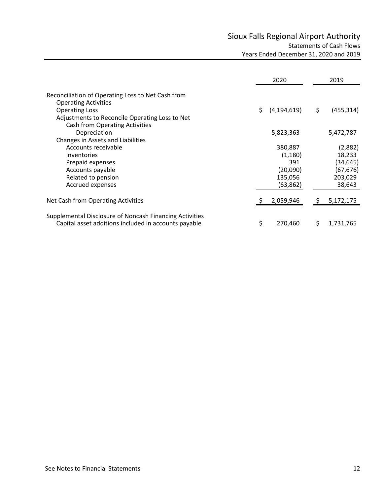# Sioux Falls Regional Airport Authority Statements of Cash Flows Years Ended December 31, 2020 and 2019

|                                                         |    | 2020          |    | 2019       |
|---------------------------------------------------------|----|---------------|----|------------|
| Reconciliation of Operating Loss to Net Cash from       |    |               |    |            |
| <b>Operating Activities</b>                             |    |               |    |            |
| <b>Operating Loss</b>                                   | S. | (4, 194, 619) | \$ | (455, 314) |
| Adjustments to Reconcile Operating Loss to Net          |    |               |    |            |
| <b>Cash from Operating Activities</b>                   |    |               |    |            |
| Depreciation                                            |    | 5,823,363     |    | 5,472,787  |
| Changes in Assets and Liabilities                       |    |               |    |            |
| Accounts receivable                                     |    | 380,887       |    | (2,882)    |
| <b>Inventories</b>                                      |    | (1,180)       |    | 18,233     |
| Prepaid expenses                                        |    | 391           |    | (34, 645)  |
| Accounts payable                                        |    | (20,090)      |    | (67, 676)  |
| Related to pension                                      |    | 135,056       |    | 203,029    |
| Accrued expenses                                        |    | (63, 862)     |    | 38,643     |
|                                                         |    |               |    |            |
| Net Cash from Operating Activities                      |    | 2,059,946     | S. | 5,172,175  |
|                                                         |    |               |    |            |
| Supplemental Disclosure of Noncash Financing Activities |    |               |    |            |
| Capital asset additions included in accounts payable    | \$ | 270,460       | \$ | 1,731,765  |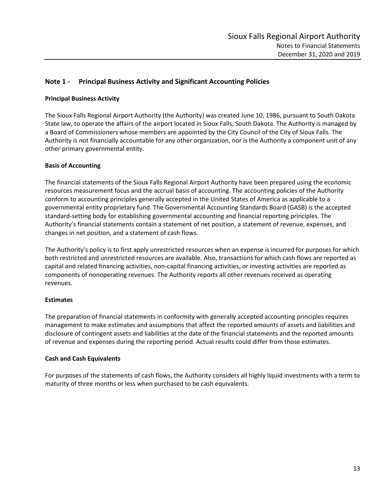### <span id="page-14-0"></span>**Note 1 - Principal Business Activity and Significant Accounting Policies**

#### **Principal Business Activity**

The Sioux Falls Regional Airport Authority (the Authority) was created June 10, 1986, pursuant to South Dakota State law, to operate the affairs of the airport located in Sioux Falls, South Dakota. The Authority is managed by a Board of Commissioners whose members are appointed by the City Council of the City of Sioux Falls. The Authority is not financially accountable for any other organization, nor is the Authority a component unit of any other primary governmental entity.

#### **Basis of Accounting**

The financial statements of the Sioux Falls Regional Airport Authority have been prepared using the economic resources measurement focus and the accrual basis of accounting. The accounting policies of the Authority conform to accounting principles generally accepted in the United States of America as applicable to a governmental entity proprietary fund. The Governmental Accounting Standards Board (GASB) is the accepted standard-setting body for establishing governmental accounting and financial reporting principles. The Authority's financial statements contain a statement of net position, a statement of revenue, expenses, and changes in net position, and a statement of cash flows.

The Authority's policy is to first apply unrestricted resources when an expense is incurred for purposes for which both restricted and unrestricted resources are available. Also, transactions for which cash flows are reported as capital and related financing activities, non-capital financing activities, or investing activities are reported as components of nonoperating revenues. The Authority reports all other revenues received as operating revenues.

### **Estimates**

The preparation of financial statements in conformity with generally accepted accounting principles requires management to make estimates and assumptions that affect the reported amounts of assets and liabilities and disclosure of contingent assets and liabilities at the date of the financial statements and the reported amounts of revenue and expenses during the reporting period. Actual results could differ from those estimates.

#### **Cash and Cash Equivalents**

For purposes of the statements of cash flows, the Authority considers all highly liquid investments with a term to maturity of three months or less when purchased to be cash equivalents.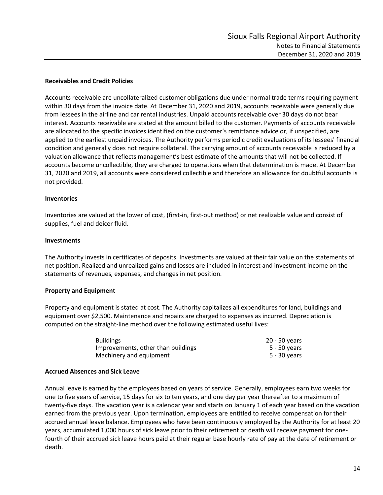### **Receivables and Credit Policies**

Accounts receivable are uncollateralized customer obligations due under normal trade terms requiring payment within 30 days from the invoice date. At December 31, 2020 and 2019, accounts receivable were generally due from lessees in the airline and car rental industries. Unpaid accounts receivable over 30 days do not bear interest. Accounts receivable are stated at the amount billed to the customer. Payments of accounts receivable are allocated to the specific invoices identified on the customer's remittance advice or, if unspecified, are applied to the earliest unpaid invoices. The Authority performs periodic credit evaluations of its lessees' financial condition and generally does not require collateral. The carrying amount of accounts receivable is reduced by a valuation allowance that reflects management's best estimate of the amounts that will not be collected. If accounts become uncollectible, they are charged to operations when that determination is made. At December 31, 2020 and 2019, all accounts were considered collectible and therefore an allowance for doubtful accounts is not provided.

#### **Inventories**

Inventories are valued at the lower of cost, (first-in, first-out method) or net realizable value and consist of supplies, fuel and deicer fluid.

#### **Investments**

The Authority invests in certificates of deposits. Investments are valued at their fair value on the statements of net position. Realized and unrealized gains and losses are included in interest and investment income on the statements of revenues, expenses, and changes in net position.

### **Property and Equipment**

Property and equipment is stated at cost. The Authority capitalizes all expenditures for land, buildings and equipment over \$2,500. Maintenance and repairs are charged to expenses as incurred. Depreciation is computed on the straight-line method over the following estimated useful lives:

| <b>Buildings</b>                   | 20 - 50 years |
|------------------------------------|---------------|
| Improvements, other than buildings | 5 - 50 years  |
| Machinery and equipment            | 5 - 30 years  |

#### **Accrued Absences and Sick Leave**

Annual leave is earned by the employees based on years of service. Generally, employees earn two weeks for one to five years of service, 15 days for six to ten years, and one day per year thereafter to a maximum of twenty-five days. The vacation year is a calendar year and starts on January 1 of each year based on the vacation earned from the previous year. Upon termination, employees are entitled to receive compensation for their accrued annual leave balance. Employees who have been continuously employed by the Authority for at least 20 years, accumulated 1,000 hours of sick leave prior to their retirement or death will receive payment for onefourth of their accrued sick leave hours paid at their regular base hourly rate of pay at the date of retirement or death.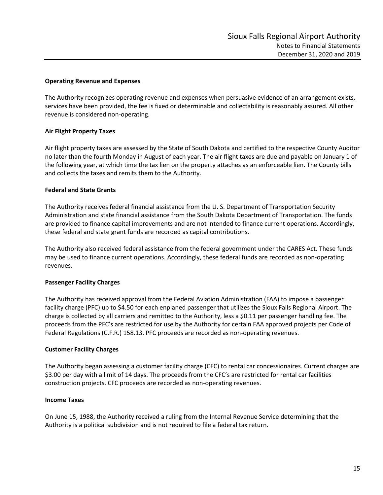### **Operating Revenue and Expenses**

The Authority recognizes operating revenue and expenses when persuasive evidence of an arrangement exists, services have been provided, the fee is fixed or determinable and collectability is reasonably assured. All other revenue is considered non-operating.

### **Air Flight Property Taxes**

Air flight property taxes are assessed by the State of South Dakota and certified to the respective County Auditor no later than the fourth Monday in August of each year. The air flight taxes are due and payable on January 1 of the following year, at which time the tax lien on the property attaches as an enforceable lien. The County bills and collects the taxes and remits them to the Authority.

### **Federal and State Grants**

The Authority receives federal financial assistance from the U. S. Department of Transportation Security Administration and state financial assistance from the South Dakota Department of Transportation. The funds are provided to finance capital improvements and are not intended to finance current operations. Accordingly, these federal and state grant funds are recorded as capital contributions.

The Authority also received federal assistance from the federal government under the CARES Act. These funds may be used to finance current operations. Accordingly, these federal funds are recorded as non-operating revenues.

### **Passenger Facility Charges**

The Authority has received approval from the Federal Aviation Administration (FAA) to impose a passenger facility charge (PFC) up to \$4.50 for each enplaned passenger that utilizes the Sioux Falls Regional Airport. The charge is collected by all carriers and remitted to the Authority, less a \$0.11 per passenger handling fee. The proceeds from the PFC's are restricted for use by the Authority for certain FAA approved projects per Code of Federal Regulations (C.F.R.) 158.13. PFC proceeds are recorded as non-operating revenues.

### **Customer Facility Charges**

The Authority began assessing a customer facility charge (CFC) to rental car concessionaires. Current charges are \$3.00 per day with a limit of 14 days. The proceeds from the CFC's are restricted for rental car facilities construction projects. CFC proceeds are recorded as non-operating revenues.

### **Income Taxes**

On June 15, 1988, the Authority received a ruling from the Internal Revenue Service determining that the Authority is a political subdivision and is not required to file a federal tax return.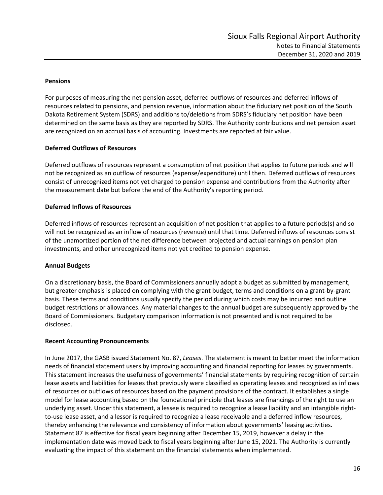### **Pensions**

For purposes of measuring the net pension asset, deferred outflows of resources and deferred inflows of resources related to pensions, and pension revenue, information about the fiduciary net position of the South Dakota Retirement System (SDRS) and additions to/deletions from SDRS's fiduciary net position have been determined on the same basis as they are reported by SDRS. The Authority contributions and net pension asset are recognized on an accrual basis of accounting. Investments are reported at fair value.

#### **Deferred Outflows of Resources**

Deferred outflows of resources represent a consumption of net position that applies to future periods and will not be recognized as an outflow of resources (expense/expenditure) until then. Deferred outflows of resources consist of unrecognized items not yet charged to pension expense and contributions from the Authority after the measurement date but before the end of the Authority's reporting period.

#### **Deferred Inflows of Resources**

Deferred inflows of resources represent an acquisition of net position that applies to a future periods(s) and so will not be recognized as an inflow of resources (revenue) until that time. Deferred inflows of resources consist of the unamortized portion of the net difference between projected and actual earnings on pension plan investments, and other unrecognized items not yet credited to pension expense.

#### **Annual Budgets**

On a discretionary basis, the Board of Commissioners annually adopt a budget as submitted by management, but greater emphasis is placed on complying with the grant budget, terms and conditions on a grant-by-grant basis. These terms and conditions usually specify the period during which costs may be incurred and outline budget restrictions or allowances. Any material changes to the annual budget are subsequently approved by the Board of Commissioners. Budgetary comparison information is not presented and is not required to be disclosed.

#### **Recent Accounting Pronouncements**

In June 2017, the GASB issued Statement No. 87, *Leases*. The statement is meant to better meet the information needs of financial statement users by improving accounting and financial reporting for leases by governments. This statement increases the usefulness of governments' financial statements by requiring recognition of certain lease assets and liabilities for leases that previously were classified as operating leases and recognized as inflows of resources or outflows of resources based on the payment provisions of the contract. It establishes a single model for lease accounting based on the foundational principle that leases are financings of the right to use an underlying asset. Under this statement, a lessee is required to recognize a lease liability and an intangible rightto-use lease asset, and a lessor is required to recognize a lease receivable and a deferred inflow resources, thereby enhancing the relevance and consistency of information about governments' leasing activities. Statement 87 is effective for fiscal years beginning after December 15, 2019, however a delay in the implementation date was moved back to fiscal years beginning after June 15, 2021. The Authority is currently evaluating the impact of this statement on the financial statements when implemented.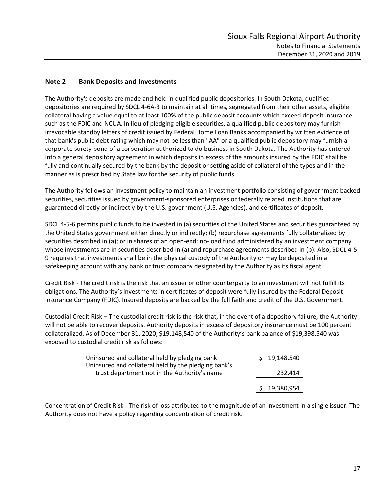## **Note 2 - Bank Deposits and Investments**

The Authority's deposits are made and held in qualified public depositories. In South Dakota, qualified depositories are required by SDCL 4-6A-3 to maintain at all times, segregated from their other assets, eligible collateral having a value equal to at least 100% of the public deposit accounts which exceed deposit insurance such as the FDIC and NCUA. In lieu of pledging eligible securities, a qualified public depository may furnish irrevocable standby letters of credit issued by Federal Home Loan Banks accompanied by written evidence of that bank's public debt rating which may not be less than "AA" or a qualified public depository may furnish a corporate surety bond of a corporation authorized to do business in South Dakota. The Authority has entered into a general depository agreement in which deposits in excess of the amounts insured by the FDIC shall be fully and continually secured by the bank by the deposit or setting aside of collateral of the types and in the manner as is prescribed by State law for the security of public funds.

The Authority follows an investment policy to maintain an investment portfolio consisting of government backed securities, securities issued by government-sponsored enterprises or federally related institutions that are guaranteed directly or indirectly by the U.S. government (U.S. Agencies), and certificates of deposit.

SDCL 4-5-6 permits public funds to be invested in (a) securities of the United States and securities guaranteed by the United States government either directly or indirectly; (b) repurchase agreements fully collateralized by securities described in (a); or in shares of an open-end; no-load fund administered by an investment company whose investments are in securities described in (a) and repurchase agreements described in (b). Also, SDCL 4-5- 9 requires that investments shall be in the physical custody of the Authority or may be deposited in a safekeeping account with any bank or trust company designated by the Authority as its fiscal agent.

Credit Risk - The credit risk is the risk that an issuer or other counterparty to an investment will not fulfill its obligations. The Authority's investments in certificates of deposit were fully insured by the Federal Deposit Insurance Company (FDIC). Insured deposits are backed by the full faith and credit of the U.S. Government.

Custodial Credit Risk – The custodial credit risk is the risk that, in the event of a depository failure, the Authority will not be able to recover deposits. Authority deposits in excess of depository insurance must be 100 percent collateralized. As of December 31, 2020, \$19,148,540 of the Authority's bank balance of \$19,398,540 was exposed to custodial credit risk as follows:

| Uninsured and collateral held by pledging bank                                                       |         | \$19,148,540 |
|------------------------------------------------------------------------------------------------------|---------|--------------|
| Uninsured and collateral held by the pledging bank's<br>trust department not in the Authority's name | 232.414 |              |
|                                                                                                      |         | \$19,380,954 |

Concentration of Credit Risk - The risk of loss attributed to the magnitude of an investment in a single issuer. The Authority does not have a policy regarding concentration of credit risk.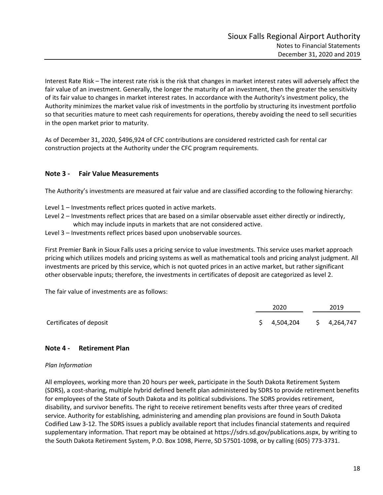Interest Rate Risk – The interest rate risk is the risk that changes in market interest rates will adversely affect the fair value of an investment. Generally, the longer the maturity of an investment, then the greater the sensitivity of its fair value to changes in market interest rates. In accordance with the Authority's investment policy, the Authority minimizes the market value risk of investments in the portfolio by structuring its investment portfolio so that securities mature to meet cash requirements for operations, thereby avoiding the need to sell securities in the open market prior to maturity.

As of December 31, 2020, \$496,924 of CFC contributions are considered restricted cash for rental car construction projects at the Authority under the CFC program requirements.

### **Note 3 - Fair Value Measurements**

The Authority's investments are measured at fair value and are classified according to the following hierarchy:

- Level 1 Investments reflect prices quoted in active markets.
- Level 2 Investments reflect prices that are based on a similar observable asset either directly or indirectly, which may include inputs in markets that are not considered active.
- Level 3 Investments reflect prices based upon unobservable sources.

First Premier Bank in Sioux Falls uses a pricing service to value investments. This service uses market approach pricing which utilizes models and pricing systems as well as mathematical tools and pricing analyst judgment. All investments are priced by this service, which is not quoted prices in an active market, but rather significant other observable inputs; therefore, the investments in certificates of deposit are categorized as level 2.

The fair value of investments are as follows:

|                         | 2020                      | 2019 |  |  |
|-------------------------|---------------------------|------|--|--|
| Certificates of deposit | $$4,504,204$ $$4,264,747$ |      |  |  |

### **Note 4 - Retirement Plan**

### *Plan Information*

All employees, working more than 20 hours per week, participate in the South Dakota Retirement System (SDRS), a cost-sharing, multiple hybrid defined benefit plan administered by SDRS to provide retirement benefits for employees of the State of South Dakota and its political subdivisions. The SDRS provides retirement, disability, and survivor benefits. The right to receive retirement benefits vests after three years of credited service. Authority for establishing, administering and amending plan provisions are found in South Dakota Codified Law 3-12. The SDRS issues a publicly available report that includes financial statements and required supplementary information. That report may be obtained at https://sdrs.sd.gov/publications.aspx, by writing to the South Dakota Retirement System, P.O. Box 1098, Pierre, SD 57501-1098, or by calling (605) 773-3731.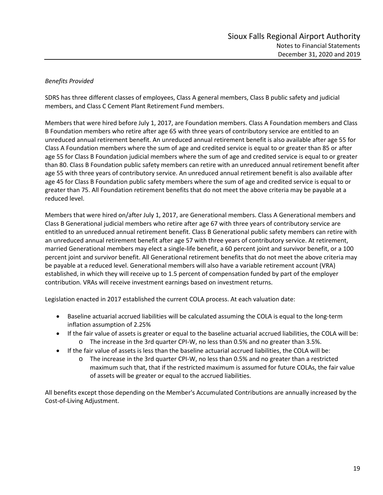### *Benefits Provided*

SDRS has three different classes of employees, Class A general members, Class B public safety and judicial members, and Class C Cement Plant Retirement Fund members.

Members that were hired before July 1, 2017, are Foundation members. Class A Foundation members and Class B Foundation members who retire after age 65 with three years of contributory service are entitled to an unreduced annual retirement benefit. An unreduced annual retirement benefit is also available after age 55 for Class A Foundation members where the sum of age and credited service is equal to or greater than 85 or after age 55 for Class B Foundation judicial members where the sum of age and credited service is equal to or greater than 80. Class B Foundation public safety members can retire with an unreduced annual retirement benefit after age 55 with three years of contributory service. An unreduced annual retirement benefit is also available after age 45 for Class B Foundation public safety members where the sum of age and credited service is equal to or greater than 75. All Foundation retirement benefits that do not meet the above criteria may be payable at a reduced level.

Members that were hired on/after July 1, 2017, are Generational members. Class A Generational members and Class B Generational judicial members who retire after age 67 with three years of contributory service are entitled to an unreduced annual retirement benefit. Class B Generational public safety members can retire with an unreduced annual retirement benefit after age 57 with three years of contributory service. At retirement, married Generational members may elect a single-life benefit, a 60 percent joint and survivor benefit, or a 100 percent joint and survivor benefit. All Generational retirement benefits that do not meet the above criteria may be payable at a reduced level. Generational members will also have a variable retirement account (VRA) established, in which they will receive up to 1.5 percent of compensation funded by part of the employer contribution. VRAs will receive investment earnings based on investment returns.

Legislation enacted in 2017 established the current COLA process. At each valuation date:

- Baseline actuarial accrued liabilities will be calculated assuming the COLA is equal to the long-term inflation assumption of 2.25%
- If the fair value of assets is greater or equal to the baseline actuarial accrued liabilities, the COLA will be: o The increase in the 3rd quarter CPI-W, no less than 0.5% and no greater than 3.5%.
- If the fair value of assets is less than the baseline actuarial accrued liabilities, the COLA will be:
	- o The increase in the 3rd quarter CPI-W, no less than 0.5% and no greater than a restricted maximum such that, that if the restricted maximum is assumed for future COLAs, the fair value of assets will be greater or equal to the accrued liabilities.

All benefits except those depending on the Member's Accumulated Contributions are annually increased by the Cost-of-Living Adjustment.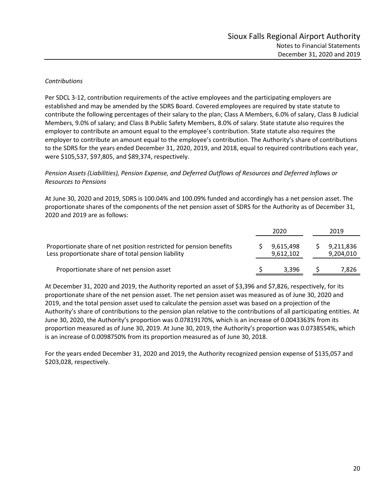### *Contributions*

Per SDCL 3-12, contribution requirements of the active employees and the participating employers are established and may be amended by the SDRS Board. Covered employees are required by state statute to contribute the following percentages of their salary to the plan; Class A Members, 6.0% of salary, Class B Judicial Members, 9.0% of salary; and Class B Public Safety Members, 8.0% of salary. State statute also requires the employer to contribute an amount equal to the employee's contribution. State statute also requires the employer to contribute an amount equal to the employee's contribution. The Authority's share of contributions to the SDRS for the years ended December 31, 2020, 2019, and 2018, equal to required contributions each year, were \$105,537, \$97,805, and \$89,374, respectively.

### *Pension Assets (Liabilities), Pension Expense, and Deferred Outflows of Resources and Deferred Inflows or Resources to Pensions*

At June 30, 2020 and 2019, SDRS is 100.04% and 100.09% funded and accordingly has a net pension asset. The proportionate shares of the components of the net pension asset of SDRS for the Authority as of December 31, 2020 and 2019 are as follows:

|                                                                                                                            | 2020                   | 2019                   |
|----------------------------------------------------------------------------------------------------------------------------|------------------------|------------------------|
| Proportionate share of net position restricted for pension benefits<br>Less proportionate share of total pension liability | 9.615.498<br>9,612,102 | 9,211,836<br>9,204,010 |
| Proportionate share of net pension asset                                                                                   | 3.396                  | 7,826                  |

At December 31, 2020 and 2019, the Authority reported an asset of \$3,396 and \$7,826, respectively, for its proportionate share of the net pension asset. The net pension asset was measured as of June 30, 2020 and 2019, and the total pension asset used to calculate the pension asset was based on a projection of the Authority's share of contributions to the pension plan relative to the contributions of all participating entities. At June 30, 2020, the Authority's proportion was 0.07819170%, which is an increase of 0.0043363% from its proportion measured as of June 30, 2019. At June 30, 2019, the Authority's proportion was 0.0738554%, which is an increase of 0.0098750% from its proportion measured as of June 30, 2018.

For the years ended December 31, 2020 and 2019, the Authority recognized pension expense of \$135,057 and \$203,028, respectively.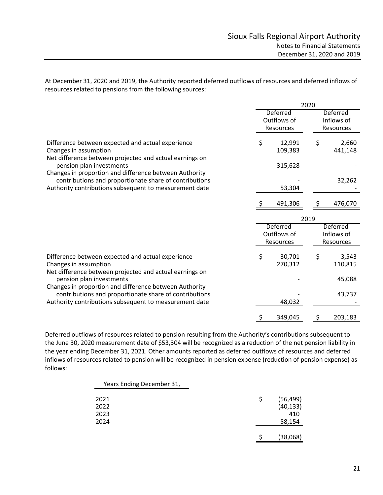At December 31, 2020 and 2019, the Authority reported deferred outflows of resources and deferred inflows of resources related to pensions from the following sources:

|                                                                                                                                                                            |                                    | 2020 |                  |  |  |  |
|----------------------------------------------------------------------------------------------------------------------------------------------------------------------------|------------------------------------|------|------------------|--|--|--|
|                                                                                                                                                                            | <b>Deferred</b>                    |      | <b>Deferred</b>  |  |  |  |
|                                                                                                                                                                            | Outflows of                        |      | Inflows of       |  |  |  |
|                                                                                                                                                                            | Resources                          |      | Resources        |  |  |  |
| Difference between expected and actual experience<br>Changes in assumption<br>Net difference between projected and actual earnings on<br>pension plan investments          | \$<br>12,991<br>109,383<br>315,628 | \$   | 2,660<br>441,148 |  |  |  |
| Changes in proportion and difference between Authority<br>contributions and proportionate share of contributions<br>Authority contributions subsequent to measurement date | 53,304                             |      | 32,262           |  |  |  |
|                                                                                                                                                                            | 491,306                            | S    | 476,070          |  |  |  |
|                                                                                                                                                                            |                                    | 2019 |                  |  |  |  |
|                                                                                                                                                                            | Deferred                           |      | <b>Deferred</b>  |  |  |  |
|                                                                                                                                                                            | Outflows of                        |      | Inflows of       |  |  |  |
|                                                                                                                                                                            | Resources                          |      | Resources        |  |  |  |
| Difference between expected and actual experience<br>Changes in assumption<br>Net difference between projected and actual earnings on                                      | \$<br>30,701<br>270,312            | \$   | 3,543<br>110,815 |  |  |  |
| pension plan investments                                                                                                                                                   |                                    |      | 45,088           |  |  |  |
| Changes in proportion and difference between Authority<br>contributions and proportionate share of contributions<br>Authority contributions subsequent to measurement date | 48,032                             |      | 43,737           |  |  |  |
|                                                                                                                                                                            | 349,045                            |      | 203,183          |  |  |  |

Deferred outflows of resources related to pension resulting from the Authority's contributions subsequent to the June 30, 2020 measurement date of \$53,304 will be recognized as a reduction of the net pension liability in the year ending December 31, 2021. Other amounts reported as deferred outflows of resources and deferred inflows of resources related to pension will be recognized in pension expense (reduction of pension expense) as follows:

| Years Ending December 31,    |   |                                         |
|------------------------------|---|-----------------------------------------|
| 2021<br>2022<br>2023<br>2024 | S | (56, 499)<br>(40, 133)<br>410<br>58,154 |
|                              |   | (38,068)                                |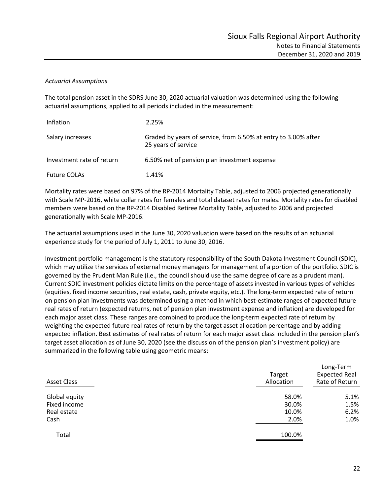### *Actuarial Assumptions*

The total pension asset in the SDRS June 30, 2020 actuarial valuation was determined using the following actuarial assumptions, applied to all periods included in the measurement:

| Inflation                 | 2.25%                                                                                 |
|---------------------------|---------------------------------------------------------------------------------------|
| Salary increases          | Graded by years of service, from 6.50% at entry to 3.00% after<br>25 years of service |
| Investment rate of return | 6.50% net of pension plan investment expense                                          |
| <b>Future COLAs</b>       | 1.41%                                                                                 |

Mortality rates were based on 97% of the RP-2014 Mortality Table, adjusted to 2006 projected generationally with Scale MP-2016, white collar rates for females and total dataset rates for males. Mortality rates for disabled members were based on the RP-2014 Disabled Retiree Mortality Table, adjusted to 2006 and projected generationally with Scale MP-2016.

The actuarial assumptions used in the June 30, 2020 valuation were based on the results of an actuarial experience study for the period of July 1, 2011 to June 30, 2016.

Investment portfolio management is the statutory responsibility of the South Dakota Investment Council (SDIC), which may utilize the services of external money managers for management of a portion of the portfolio. SDIC is governed by the Prudent Man Rule (i.e., the council should use the same degree of care as a prudent man). Current SDIC investment policies dictate limits on the percentage of assets invested in various types of vehicles (equities, fixed income securities, real estate, cash, private equity, etc.). The long-term expected rate of return on pension plan investments was determined using a method in which best-estimate ranges of expected future real rates of return (expected returns, net of pension plan investment expense and inflation) are developed for each major asset class. These ranges are combined to produce the long-term expected rate of return by weighting the expected future real rates of return by the target asset allocation percentage and by adding expected inflation. Best estimates of real rates of return for each major asset class included in the pension plan's target asset allocation as of June 30, 2020 (see the discussion of the pension plan's investment policy) are summarized in the following table using geometric means:

| <b>Asset Class</b> | Target<br>Allocation | Long-Term<br><b>Expected Real</b><br>Rate of Return |
|--------------------|----------------------|-----------------------------------------------------|
| Global equity      | 58.0%                | 5.1%                                                |
| Fixed income       | 30.0%                | 1.5%                                                |
| Real estate        | 10.0%                | 6.2%                                                |
| Cash               | 2.0%                 | 1.0%                                                |
| Total              | 100.0%               |                                                     |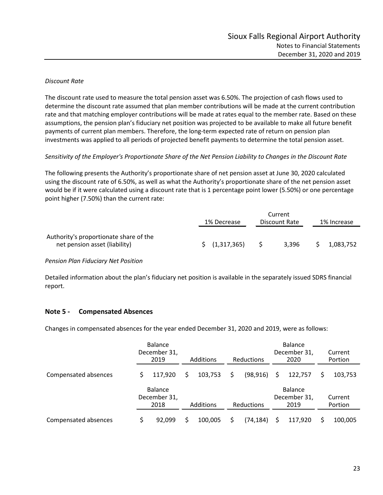### *Discount Rate*

The discount rate used to measure the total pension asset was 6.50%. The projection of cash flows used to determine the discount rate assumed that plan member contributions will be made at the current contribution rate and that matching employer contributions will be made at rates equal to the member rate. Based on these assumptions, the pension plan's fiduciary net position was projected to be available to make all future benefit payments of current plan members. Therefore, the long-term expected rate of return on pension plan investments was applied to all periods of projected benefit payments to determine the total pension asset.

### *Sensitivity of the Employer's Proportionate Share of the Net Pension Liability to Changes in the Discount Rate*

The following presents the Authority's proportionate share of net pension asset at June 30, 2020 calculated using the discount rate of 6.50%, as well as what the Authority's proportionate share of the net pension asset would be if it were calculated using a discount rate that is 1 percentage point lower (5.50%) or one percentage point higher (7.50%) than the current rate:

|                                                                         | 1% Decrease               | Current<br>Discount Rate | 1% Increase |
|-------------------------------------------------------------------------|---------------------------|--------------------------|-------------|
| Authority's proportionate share of the<br>net pension asset (liability) | $\frac{1}{2}$ (1,317,365) | 3.396                    | 1,083,752   |

*Pension Plan Fiduciary Net Position*

Detailed information about the plan's fiduciary net position is available in the separately issued SDRS financial report.

### **Note 5 - Compensated Absences**

Changes in compensated absences for the year ended December 31, 2020 and 2019, were as follows:

|                      |                                                              | <b>Balance</b><br>December 31,<br>2019 |         | <b>Additions</b> |                   | Reductions    |                                        | <b>Balance</b><br>December 31,<br>2020 |         | Current<br>Portion |  |
|----------------------|--------------------------------------------------------------|----------------------------------------|---------|------------------|-------------------|---------------|----------------------------------------|----------------------------------------|---------|--------------------|--|
| Compensated absences | 117,920<br>S<br>Balance<br>December 31,<br>Additions<br>2018 |                                        | 103,753 | \$               | (98, 916)         | S             | 122,757                                | S                                      | 103,753 |                    |  |
|                      |                                                              |                                        |         |                  | <b>Reductions</b> |               | <b>Balance</b><br>December 31,<br>2019 |                                        |         | Current<br>Portion |  |
| Compensated absences | 92,099                                                       |                                        |         | 100,005          |                   | (74,184)<br>Ś |                                        | 117,920                                |         | 100,005            |  |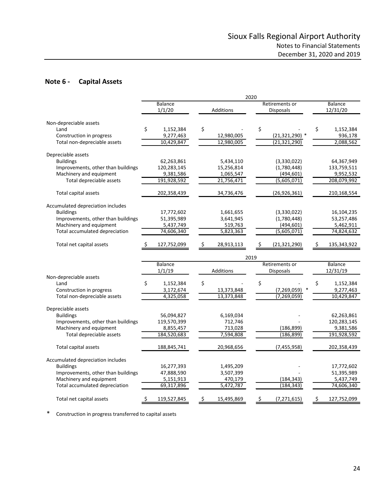# **Note 6 - Capital Assets**

|                                                       |                 | 2020            |                    |                  |  |  |  |  |  |  |  |  |
|-------------------------------------------------------|-----------------|-----------------|--------------------|------------------|--|--|--|--|--|--|--|--|
|                                                       | <b>Balance</b>  |                 | Retirements or     | <b>Balance</b>   |  |  |  |  |  |  |  |  |
|                                                       | 1/1/20          | Additions       | <b>Disposals</b>   | 12/31/20         |  |  |  |  |  |  |  |  |
|                                                       |                 |                 |                    |                  |  |  |  |  |  |  |  |  |
| Non-depreciable assets                                |                 |                 |                    |                  |  |  |  |  |  |  |  |  |
| Land                                                  | \$<br>1,152,384 | \$              | \$                 | \$<br>1,152,384  |  |  |  |  |  |  |  |  |
| Construction in progress                              | 9,277,463       | 12,980,005      | $(21, 321, 290)$ * | 936,178          |  |  |  |  |  |  |  |  |
| Total non-depreciable assets                          | 10,429,847      | 12,980,005      | (21, 321, 290)     | 2,088,562        |  |  |  |  |  |  |  |  |
| Depreciable assets                                    |                 |                 |                    |                  |  |  |  |  |  |  |  |  |
| <b>Buildings</b>                                      | 62,263,861      | 5,434,110       | (3,330,022)        | 64,367,949       |  |  |  |  |  |  |  |  |
| Improvements, other than buildings                    | 120,283,145     | 15,256,814      | (1,780,448)        | 133,759,511      |  |  |  |  |  |  |  |  |
| Machinery and equipment                               | 9,381,586       | 1,065,547       | (494, 601)         | 9,952,532        |  |  |  |  |  |  |  |  |
| Total depreciable assets                              | 191,928,592     | 21,756,471      | (5,605,071)        | 208,079,992      |  |  |  |  |  |  |  |  |
|                                                       |                 |                 |                    |                  |  |  |  |  |  |  |  |  |
| Total capital assets                                  | 202,358,439     | 34,736,476      | (26, 926, 361)     | 210,168,554      |  |  |  |  |  |  |  |  |
| Accumulated depreciation includes                     |                 |                 |                    |                  |  |  |  |  |  |  |  |  |
| <b>Buildings</b>                                      | 17,772,602      | 1,661,655       | (3,330,022)        | 16,104,235       |  |  |  |  |  |  |  |  |
| Improvements, other than buildings                    | 51,395,989      | 3,641,945       | (1,780,448)        | 53,257,486       |  |  |  |  |  |  |  |  |
| Machinery and equipment                               | 5,437,749       | 519,763         | (494, 601)         | 5,462,911        |  |  |  |  |  |  |  |  |
| Total accumulated depreciation                        | 74,606,340      | 5,823,363       | (5,605,071)        | 74,824,632       |  |  |  |  |  |  |  |  |
|                                                       |                 |                 |                    |                  |  |  |  |  |  |  |  |  |
| Total net capital assets                              | 127,752,099     | 28,913,113<br>s | (21, 321, 290)     | 135,343,922<br>s |  |  |  |  |  |  |  |  |
|                                                       |                 |                 | 2019               |                  |  |  |  |  |  |  |  |  |
|                                                       | <b>Balance</b>  |                 | Retirements or     | <b>Balance</b>   |  |  |  |  |  |  |  |  |
|                                                       | 1/1/19          | Additions       | <b>Disposals</b>   | 12/31/19         |  |  |  |  |  |  |  |  |
| Non-depreciable assets                                |                 |                 |                    |                  |  |  |  |  |  |  |  |  |
| Land                                                  | \$<br>1,152,384 | \$              | \$                 | \$<br>1,152,384  |  |  |  |  |  |  |  |  |
| Construction in progress                              | 3,172,674       | 13,373,848      | (7, 269, 059)      | 9,277,463        |  |  |  |  |  |  |  |  |
| Total non-depreciable assets                          | 4,325,058       | 13,373,848      | (7, 269, 059)      | 10,429,847       |  |  |  |  |  |  |  |  |
| Depreciable assets                                    |                 |                 |                    |                  |  |  |  |  |  |  |  |  |
| <b>Buildings</b>                                      | 56,094,827      | 6,169,034       |                    | 62,263,861       |  |  |  |  |  |  |  |  |
| Improvements, other than buildings                    |                 |                 |                    |                  |  |  |  |  |  |  |  |  |
|                                                       |                 |                 |                    |                  |  |  |  |  |  |  |  |  |
|                                                       | 119,570,399     | 712,746         |                    | 120,283,145      |  |  |  |  |  |  |  |  |
| Machinery and equipment                               | 8,855,457       | 713,028         | (186, 899)         | 9,381,586        |  |  |  |  |  |  |  |  |
| Total depreciable assets                              | 184,520,683     | 7,594,808       | (186, 899)         | 191,928,592      |  |  |  |  |  |  |  |  |
| Total capital assets                                  | 188,845,741     | 20,968,656      | (7,455,958)        | 202,358,439      |  |  |  |  |  |  |  |  |
|                                                       |                 |                 |                    |                  |  |  |  |  |  |  |  |  |
| Accumulated depreciation includes<br><b>Buildings</b> |                 |                 |                    |                  |  |  |  |  |  |  |  |  |
|                                                       | 16,277,393      | 1,495,209       |                    | 17,772,602       |  |  |  |  |  |  |  |  |
| Improvements, other than buildings                    | 47,888,590      | 3,507,399       |                    | 51,395,989       |  |  |  |  |  |  |  |  |
| Machinery and equipment                               | 5,151,913       | 470,179         | (184, 343)         | 5,437,749        |  |  |  |  |  |  |  |  |
| Total accumulated depreciation                        | 69,317,896      | 5,472,787       | (184, 343)         | 74,606,340       |  |  |  |  |  |  |  |  |

\* Construction in progress transferred to capital assets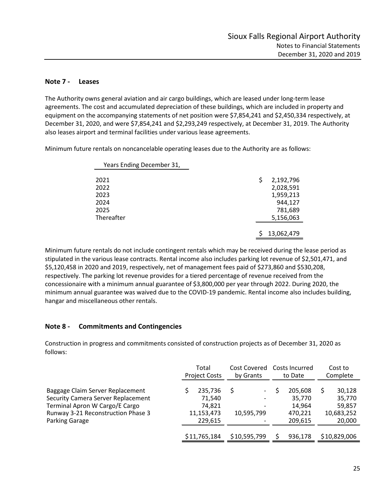### **Note 7 - Leases**

The Authority owns general aviation and air cargo buildings, which are leased under long-term lease agreements. The cost and accumulated depreciation of these buildings, which are included in property and equipment on the accompanying statements of net position were \$7,854,241 and \$2,450,334 respectively, at December 31, 2020, and were \$7,854,241 and \$2,293,249 respectively, at December 31, 2019. The Authority also leases airport and terminal facilities under various lease agreements.

Minimum future rentals on noncancelable operating leases due to the Authority are as follows:

| Years Ending December 31,                          |                                                                              |
|----------------------------------------------------|------------------------------------------------------------------------------|
| 2021<br>2022<br>2023<br>2024<br>2025<br>Thereafter | \$<br>2,192,796<br>2,028,591<br>1,959,213<br>944,127<br>781,689<br>5,156,063 |
|                                                    | 13,062,479                                                                   |

Minimum future rentals do not include contingent rentals which may be received during the lease period as stipulated in the various lease contracts. Rental income also includes parking lot revenue of \$2,501,471, and \$5,120,458 in 2020 and 2019, respectively, net of management fees paid of \$273,860 and \$530,208, respectively. The parking lot revenue provides for a tiered percentage of revenue received from the concessionaire with a minimum annual guarantee of \$3,800,000 per year through 2022. During 2020, the minimum annual guarantee was waived due to the COVID-19 pandemic. Rental income also includes building, hangar and miscellaneous other rentals.

### **Note 8 - Commitments and Contingencies**

Construction in progress and commitments consisted of construction projects as of December 31, 2020 as follows:

|                                                                                                                                                                  | Total<br><b>Project Costs</b>                        |  | Cost Covered<br>by Grants | Costs Incurred<br>to Date                         |   | Cost to<br>Complete                                |
|------------------------------------------------------------------------------------------------------------------------------------------------------------------|------------------------------------------------------|--|---------------------------|---------------------------------------------------|---|----------------------------------------------------|
| Baggage Claim Server Replacement<br>Security Camera Server Replacement<br>Terminal Apron W Cargo/E Cargo<br>Runway 3-21 Reconstruction Phase 3<br>Parking Garage | 235,736<br>71,540<br>74,821<br>11,153,473<br>229,615 |  | \$<br>10,595,799          | 205,608<br>35,770<br>14,964<br>470,221<br>209,615 | S | 30,128<br>35,770<br>59,857<br>10,683,252<br>20,000 |
|                                                                                                                                                                  | \$11,765,184                                         |  | \$10,595,799              | 936,178                                           |   | \$10,829,006                                       |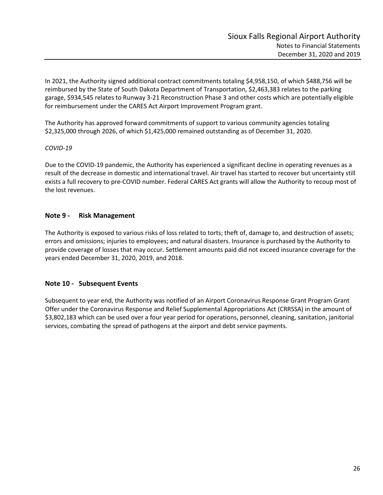In 2021, the Authority signed additional contract commitments totaling \$4,958,150, of which \$488,756 will be reimbursed by the State of South Dakota Department of Transportation, \$2,463,383 relates to the parking garage, \$934,545 relates to Runway 3-21 Reconstruction Phase 3 and other costs which are potentially eligible for reimbursement under the CARES Act Airport Improvement Program grant.

The Authority has approved forward commitments of support to various community agencies totaling \$2,325,000 through 2026, of which \$1,425,000 remained outstanding as of December 31, 2020.

### *COVID-19*

Due to the COVID-19 pandemic, the Authority has experienced a significant decline in operating revenues as a result of the decrease in domestic and international travel. Air travel has started to recover but uncertainty still exists a full recovery to pre-COVID number. Federal CARES Act grants will allow the Authority to recoup most of the lost revenues.

### **Note 9 - Risk Management**

The Authority is exposed to various risks of loss related to torts; theft of, damage to, and destruction of assets; errors and omissions; injuries to employees; and natural disasters. Insurance is purchased by the Authority to provide coverage of losses that may occur. Settlement amounts paid did not exceed insurance coverage for the years ended December 31, 2020, 2019, and 2018.

### **Note 10 - Subsequent Events**

Subsequent to year end, the Authority was notified of an Airport Coronavirus Response Grant Program Grant Offer under the Coronavirus Response and Relief Supplemental Appropriations Act (CRRSSA) in the amount of \$3,802,183 which can be used over a four year period for operations, personnel, cleaning, sanitation, janitorial services, combating the spread of pathogens at the airport and debt service payments.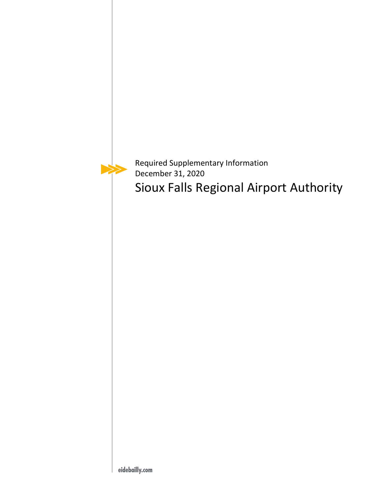

Required Supplementary Information December 31, 2020

Sioux Falls Regional Airport Authority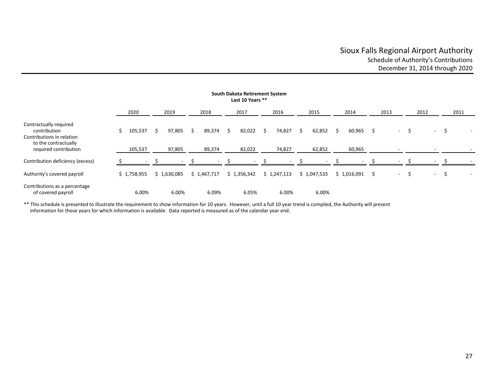<span id="page-29-0"></span>

|                                                                                             |    |             |    |             |    |             |    | South Dakota Retirement System<br>Last 10 Years ** |   |             |             |    |             |    |                          |      |      |                          |      |  |
|---------------------------------------------------------------------------------------------|----|-------------|----|-------------|----|-------------|----|----------------------------------------------------|---|-------------|-------------|----|-------------|----|--------------------------|------|------|--------------------------|------|--|
|                                                                                             |    | 2020        |    | 2019        |    | 2018        |    | 2017                                               |   | 2016        | 2015        |    | 2014        |    | 2013                     |      | 2012 |                          | 2011 |  |
| Contractually required<br>contribution<br>Contributions in relation<br>to the contractually | Ś. | 105,537     | S. | 97,805      | S. | 89,374      | -S | 82,022                                             | S | 74,827      | 62,852      | S. | 60,965      | Ŝ. | $\sim 100$               | -\$  |      | $-5$                     |      |  |
| required contribution                                                                       |    | 105,537     |    | 97,805      |    | 89,374      |    | 82,022                                             |   | 74,827      | 62,852      |    | 60,965      |    |                          |      |      |                          |      |  |
| Contribution deficiency (excess)                                                            |    | $\sim$      |    | $\sim$      |    | $\sim$      |    | $\sim$                                             |   | $\sim$      | $\sim$      |    | $\sim$      |    | $\overline{\phantom{a}}$ |      |      | $\overline{\phantom{a}}$ |      |  |
| Authority's covered payroll                                                                 |    | \$1,758,955 |    | \$1,630,085 |    | \$1,467,717 |    | \$1,356,342                                        |   | \$1,247,113 | \$1,047,533 |    | \$1,016,091 | S. |                          | - \$ |      | - \$                     |      |  |
| Contributions as a percentage<br>of covered payroll                                         |    | 6.00%       |    | 6.00%       |    | 6.09%       |    | 6.05%                                              |   | 6.00%       | 6.00%       |    |             |    |                          |      |      |                          |      |  |

<span id="page-29-1"></span>\*\* This schedule is presented to illustrate the requirement to show information for 10 years. However, until a full 10 year trend is compiled, the Authority will present information for those years for which information is available. Data reported is measured as of the calendar year end.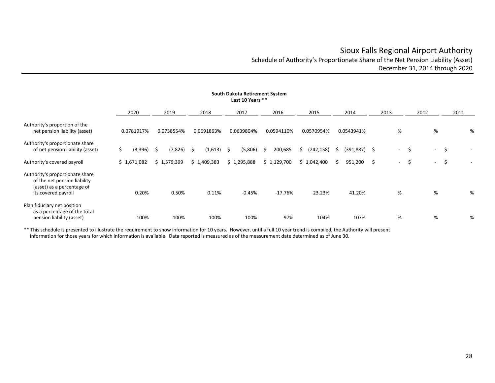# Sioux Falls Regional Airport Authority

Schedule of Authority's Proportionate Share of the Net Pension Liability (Asset) December 31, 2014 through 2020

|                                                                                                                      |                |                |               | South Dakota Retirement System<br>Last 10 Years ** |               |                 |                |               |      |              |      |
|----------------------------------------------------------------------------------------------------------------------|----------------|----------------|---------------|----------------------------------------------------|---------------|-----------------|----------------|---------------|------|--------------|------|
|                                                                                                                      | 2020           | 2019           | 2018          | 2017                                               | 2016          | 2015            | 2014           | 2013          | 2012 |              | 2011 |
| Authority's proportion of the<br>net pension liability (asset)                                                       | 0.0781917%     | 0.0738554%     | 0.0691863%    | 0.0639804%                                         | 0.0594110%    | 0.0570954%      | 0.0543941%     | %             |      | %            | %    |
| Authority's proportionate share<br>of net pension liability (asset)                                                  | \$.<br>(3,396) | (7, 826)<br>S. | Ŝ.<br>(1,613) | (5,806)<br>- \$                                    | 200,685<br>S. | (242, 158)<br>S | (391,887)<br>S | \$.<br>$\sim$ | \$   | \$<br>$\sim$ |      |
| Authority's covered payroll                                                                                          | \$1,671,082    | \$1,579,399    | \$1,409,383   | \$1,295,888                                        | \$1,129,700   | \$1,042,400     | 951,200<br>S.  | \$<br>$\sim$  | Ŝ.   | \$<br>$\sim$ |      |
| Authority's proportionate share<br>of the net pension liability<br>(asset) as a percentage of<br>its covered payroll | 0.20%          | 0.50%          | 0.11%         | $-0.45%$                                           | $-17.76%$     | 23.23%          | 41.20%         | %             |      | %            | %    |
| Plan fiduciary net position<br>as a percentage of the total<br>pension liability (asset)                             | 100%           | 100%           | 100%          | 100%                                               | 97%           | 104%            | 107%           | %             |      | %            | %    |

<span id="page-30-0"></span>\*\* This schedule is presented to illustrate the requirement to show information for 10 years. However, until a full 10 year trend is compiled, the Authority will present information for those years for which information is available. Data reported is measured as of the measurement date determined as of June 30.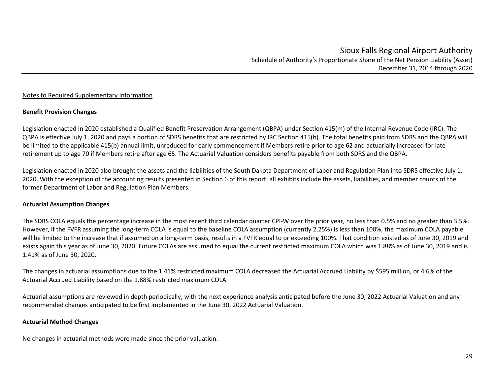### Notes to Required Supplementary Information

#### **Benefit Provision Changes**

Legislation enacted in 2020 established a Qualified Benefit Preservation Arrangement (QBPA) under Section 415(m) of the Internal Revenue Code (IRC). The QBPA is effective July 1, 2020 and pays a portion of SDRS benefits that are restricted by IRC Section 415(b). The total benefits paid from SDRS and the QBPA will be limited to the applicable 415(b) annual limit, unreduced for early commencement if Members retire prior to age 62 and actuarially increased for late retirement up to age 70 if Members retire after age 65. The Actuarial Valuation considers benefits payable from both SDRS and the QBPA.

Legislation enacted in 2020 also brought the assets and the liabilities of the South Dakota Department of Labor and Regulation Plan into SDRS effective July 1, 2020. With the exception of the accounting results presented in Section 6 of this report, all exhibits include the assets, liabilities, and member counts of the former Department of Labor and Regulation Plan Members.

#### **Actuarial Assumption Changes**

The SDRS COLA equals the percentage increase in the most recent third calendar quarter CPI-W over the prior year, no less than 0.5% and no greater than 3.5%. However, if the FVFR assuming the long-term COLA is equal to the baseline COLA assumption (currently 2.25%) is less than 100%, the maximum COLA payable will be limited to the increase that if assumed on a long-term basis, results in a FVFR equal to or exceeding 100%. That condition existed as of June 30, 2019 and exists again this year as of June 30, 2020. Future COLAs are assumed to equal the current restricted maximum COLA which was 1.88% as of June 30, 2019 and is 1.41% as of June 30, 2020.

The changes in actuarial assumptions due to the 1.41% restricted maximum COLA decreased the Actuarial Accrued Liability by \$595 million, or 4.6% of the Actuarial Accrued Liability based on the 1.88% restricted maximum COLA.

Actuarial assumptions are reviewed in depth periodically, with the next experience analysis anticipated before the June 30, 2022 Actuarial Valuation and any recommended changes anticipated to be first implemented in the June 30, 2022 Actuarial Valuation.

#### **Actuarial Method Changes**

No changes in actuarial methods were made since the prior valuation.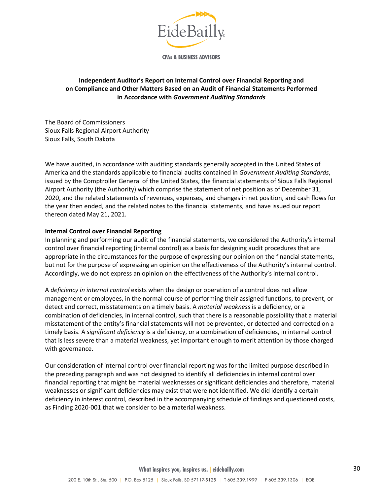

**CPAs & BUSINESS ADVISORS** 

### <span id="page-32-0"></span>**Independent Auditor's Report on Internal Control over Financial Reporting and on Compliance and Other Matters Based on an Audit of Financial Statements Performed in Accordance with** *Government Auditing Standards*

The Board of Commissioners Sioux Falls Regional Airport Authority Sioux Falls, South Dakota

We have audited, in accordance with auditing standards generally accepted in the United States of America and the standards applicable to financial audits contained in *Government Auditing Standards*, issued by the Comptroller General of the United States, the financial statements of Sioux Falls Regional Airport Authority (the Authority) which comprise the statement of net position as of December 31, 2020, and the related statements of revenues, expenses, and changes in net position, and cash flows for the year then ended, and the related notes to the financial statements, and have issued our report thereon dated May 21, 2021.

### **Internal Control over Financial Reporting**

In planning and performing our audit of the financial statements, we considered the Authority's internal control over financial reporting (internal control) as a basis for designing audit procedures that are appropriate in the circumstances for the purpose of expressing our opinion on the financial statements, but not for the purpose of expressing an opinion on the effectiveness of the Authority's internal control. Accordingly, we do not express an opinion on the effectiveness of the Authority's internal control.

A *deficiency in internal control* exists when the design or operation of a control does not allow management or employees, in the normal course of performing their assigned functions, to prevent, or detect and correct, misstatements on a timely basis. A *material weakness* is a deficiency, or a combination of deficiencies, in internal control, such that there is a reasonable possibility that a material misstatement of the entity's financial statements will not be prevented, or detected and corrected on a timely basis. A *significant deficiency* is a deficiency, or a combination of deficiencies, in internal control that is less severe than a material weakness, yet important enough to merit attention by those charged with governance.

Our consideration of internal control over financial reporting was for the limited purpose described in the preceding paragraph and was not designed to identify all deficiencies in internal control over financial reporting that might be material weaknesses or significant deficiencies and therefore, material weaknesses or significant deficiencies may exist that were not identified. We did identify a certain deficiency in interest control, described in the accompanying schedule of findings and questioned costs, as Finding 2020-001 that we consider to be a material weakness.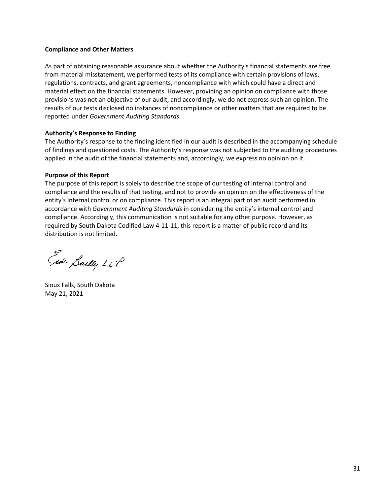### **Compliance and Other Matters**

As part of obtaining reasonable assurance about whether the Authority's financial statements are free from material misstatement, we performed tests of its compliance with certain provisions of laws, regulations, contracts, and grant agreements, noncompliance with which could have a direct and material effect on the financial statements. However, providing an opinion on compliance with those provisions was not an objective of our audit, and accordingly, we do not express such an opinion. The results of our tests disclosed no instances of noncompliance or other matters that are required to be reported under *Government Auditing Standards*.

#### **Authority's Response to Finding**

The Authority's response to the finding identified in our audit is described in the accompanying schedule of findings and questioned costs. The Authority's response was not subjected to the auditing procedures applied in the audit of the financial statements and, accordingly, we express no opinion on it.

#### **Purpose of this Report**

The purpose of this report is solely to describe the scope of our testing of internal control and compliance and the results of that testing, and not to provide an opinion on the effectiveness of the entity's internal control or on compliance. This report is an integral part of an audit performed in accordance with *Government Auditing Standards* in considering the entity's internal control and compliance. Accordingly, this communication is not suitable for any other purpose. However, as required by South Dakota Codified Law 4-11-11, this report is a matter of public record and its distribution is not limited.

Ede Sailly LLP

Sioux Falls, South Dakota May 21, 2021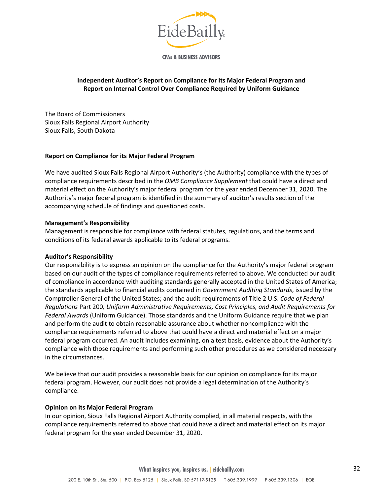

**CPAs & BUSINESS ADVISORS** 

### <span id="page-34-0"></span>**Independent Auditor's Report on Compliance for Its Major Federal Program and Report on Internal Control Over Compliance Required by Uniform Guidance**

The Board of Commissioners Sioux Falls Regional Airport Authority Sioux Falls, South Dakota

#### **Report on Compliance for its Major Federal Program**

We have audited Sioux Falls Regional Airport Authority's (the Authority) compliance with the types of compliance requirements described in the *OMB Compliance Supplement* that could have a direct and material effect on the Authority's major federal program for the year ended December 31, 2020. The Authority's major federal program is identified in the summary of auditor's results section of the accompanying schedule of findings and questioned costs.

#### **Management's Responsibility**

Management is responsible for compliance with federal statutes, regulations, and the terms and conditions of its federal awards applicable to its federal programs.

### **Auditor's Responsibility**

Our responsibility is to express an opinion on the compliance for the Authority's major federal program based on our audit of the types of compliance requirements referred to above. We conducted our audit of compliance in accordance with auditing standards generally accepted in the United States of America; the standards applicable to financial audits contained in *Government Auditing Standards*, issued by the Comptroller General of the United States; and the audit requirements of Title 2 U.S. *Code of Federal Regulations* Part 200*, Uniform Administrative Requirements, Cost Principles, and Audit Requirements for Federal Awards* (Uniform Guidance). Those standards and the Uniform Guidance require that we plan and perform the audit to obtain reasonable assurance about whether noncompliance with the compliance requirements referred to above that could have a direct and material effect on a major federal program occurred. An audit includes examining, on a test basis, evidence about the Authority's compliance with those requirements and performing such other procedures as we considered necessary in the circumstances.

We believe that our audit provides a reasonable basis for our opinion on compliance for its major federal program. However, our audit does not provide a legal determination of the Authority's compliance.

#### **Opinion on its Major Federal Program**

In our opinion, Sioux Falls Regional Airport Authority complied, in all material respects, with the compliance requirements referred to above that could have a direct and material effect on its major federal program for the year ended December 31, 2020.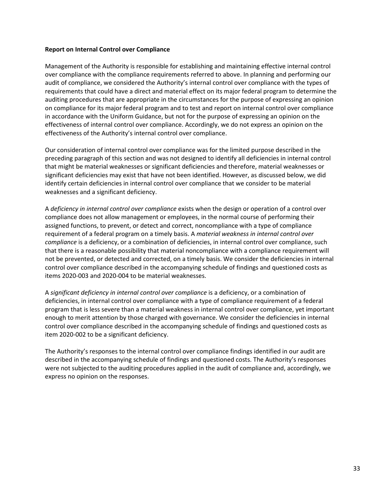#### **Report on Internal Control over Compliance**

Management of the Authority is responsible for establishing and maintaining effective internal control over compliance with the compliance requirements referred to above. In planning and performing our audit of compliance, we considered the Authority's internal control over compliance with the types of requirements that could have a direct and material effect on its major federal program to determine the auditing procedures that are appropriate in the circumstances for the purpose of expressing an opinion on compliance for its major federal program and to test and report on internal control over compliance in accordance with the Uniform Guidance, but not for the purpose of expressing an opinion on the effectiveness of internal control over compliance. Accordingly, we do not express an opinion on the effectiveness of the Authority's internal control over compliance.

Our consideration of internal control over compliance was for the limited purpose described in the preceding paragraph of this section and was not designed to identify all deficiencies in internal control that might be material weaknesses or significant deficiencies and therefore, material weaknesses or significant deficiencies may exist that have not been identified. However, as discussed below, we did identify certain deficiencies in internal control over compliance that we consider to be material weaknesses and a significant deficiency.

A *deficiency in internal control over compliance* exists when the design or operation of a control over compliance does not allow management or employees, in the normal course of performing their assigned functions, to prevent, or detect and correct, noncompliance with a type of compliance requirement of a federal program on a timely basis. A *material weakness in internal control over compliance* is a deficiency, or a combination of deficiencies, in internal control over compliance, such that there is a reasonable possibility that material noncompliance with a compliance requirement will not be prevented, or detected and corrected, on a timely basis. We consider the deficiencies in internal control over compliance described in the accompanying schedule of findings and questioned costs as items 2020-003 and 2020-004 to be material weaknesses.

A *significant deficiency in internal control over compliance* is a deficiency, or a combination of deficiencies, in internal control over compliance with a type of compliance requirement of a federal program that is less severe than a material weakness in internal control over compliance, yet important enough to merit attention by those charged with governance. We consider the deficiencies in internal control over compliance described in the accompanying schedule of findings and questioned costs as item 2020-002 to be a significant deficiency.

The Authority's responses to the internal control over compliance findings identified in our audit are described in the accompanying schedule of findings and questioned costs. The Authority's responses were not subjected to the auditing procedures applied in the audit of compliance and, accordingly, we express no opinion on the responses.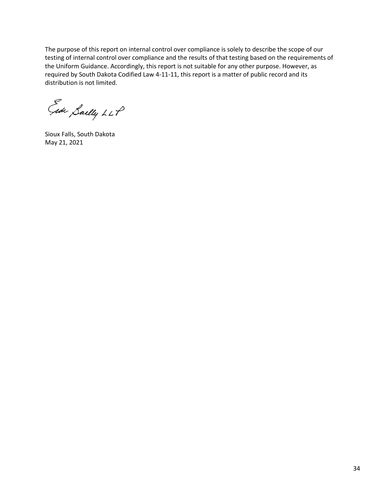The purpose of this report on internal control over compliance is solely to describe the scope of our testing of internal control over compliance and the results of that testing based on the requirements of the Uniform Guidance. Accordingly, this report is not suitable for any other purpose. However, as required by South Dakota Codified Law 4-11-11, this report is a matter of public record and its distribution is not limited.

Gide Sailly LLP

Sioux Falls, South Dakota May 21, 2021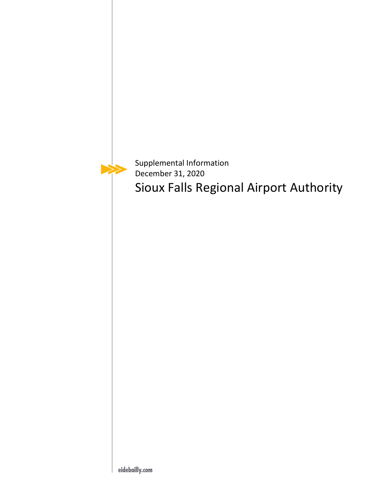<span id="page-37-0"></span>

Supplemental Information December 31, 2020 Sioux Falls Regional Airport Authority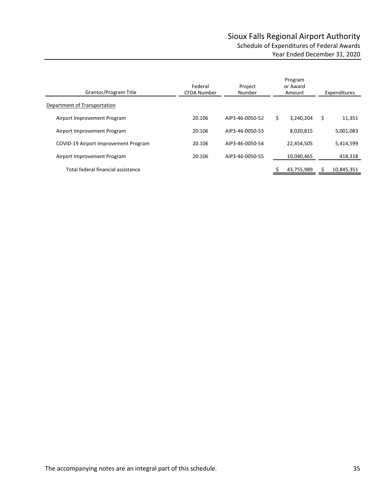# Sioux Falls Regional Airport Authority Schedule of Expenditures of Federal Awards Year Ended December 31, 2020

<span id="page-38-0"></span>

| Grantor/Program Title                | Federal<br>Project<br><b>CFDA Number</b><br>Number |                 | Program<br>or Award<br>Amount |            | Expenditures |            |  |
|--------------------------------------|----------------------------------------------------|-----------------|-------------------------------|------------|--------------|------------|--|
| Department of Transportation         |                                                    |                 |                               |            |              |            |  |
| Airport Improvement Program          | 20.106                                             | AIP3-46-0050-52 | Ś.                            | 3,240,204  | \$           | 11,351     |  |
| Airport Improvement Program          | 20.106                                             | AIP3-46-0050-53 |                               | 8,020,815  |              | 5,001,083  |  |
| COVID-19 Airport Improvement Program | 20.106                                             | AIP3-46-0050-54 |                               | 22,454,505 |              | 5,414,599  |  |
| Airport Improvement Program          | 20.106                                             | AIP3-46-0050-55 |                               | 10,040,465 |              | 418,318    |  |
| Total federal financial assistance   |                                                    |                 |                               | 43.755.989 |              | 10.845.351 |  |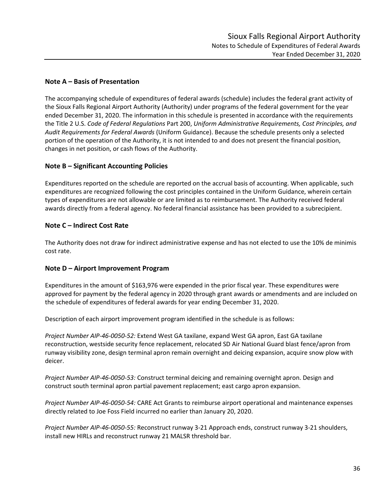### <span id="page-39-0"></span>**Note A – Basis of Presentation**

The accompanying schedule of expenditures of federal awards (schedule) includes the federal grant activity of the Sioux Falls Regional Airport Authority (Authority) under programs of the federal government for the year ended December 31, 2020. The information in this schedule is presented in accordance with the requirements the Title 2 U.S. *Code of Federal Regulations* Part 200, *Uniform Administrative Requirements, Cost Principles, and Audit Requirements for Federal Awards* (Uniform Guidance). Because the schedule presents only a selected portion of the operation of the Authority, it is not intended to and does not present the financial position, changes in net position, or cash flows of the Authority.

### **Note B – Significant Accounting Policies**

Expenditures reported on the schedule are reported on the accrual basis of accounting. When applicable, such expenditures are recognized following the cost principles contained in the Uniform Guidance, wherein certain types of expenditures are not allowable or are limited as to reimbursement. The Authority received federal awards directly from a federal agency. No federal financial assistance has been provided to a subrecipient.

### **Note C – Indirect Cost Rate**

The Authority does not draw for indirect administrative expense and has not elected to use the 10% de minimis cost rate.

### **Note D – Airport Improvement Program**

Expenditures in the amount of \$163,976 were expended in the prior fiscal year. These expenditures were approved for payment by the federal agency in 2020 through grant awards or amendments and are included on the schedule of expenditures of federal awards for year ending December 31, 2020.

Description of each airport improvement program identified in the schedule is as follows:

*Project Number AIP-46-0050-52:* Extend West GA taxilane, expand West GA apron, East GA taxilane reconstruction, westside security fence replacement, relocated SD Air National Guard blast fence/apron from runway visibility zone, design terminal apron remain overnight and deicing expansion, acquire snow plow with deicer.

*Project Number AIP-46-0050-53:* Construct terminal deicing and remaining overnight apron. Design and construct south terminal apron partial pavement replacement; east cargo apron expansion.

*Project Number AIP-46-0050-54:* CARE Act Grants to reimburse airport operational and maintenance expenses directly related to Joe Foss Field incurred no earlier than January 20, 2020.

*Project Number AIP-46-0050-55:* Reconstruct runway 3-21 Approach ends, construct runway 3-21 shoulders, install new HIRLs and reconstruct runway 21 MALSR threshold bar.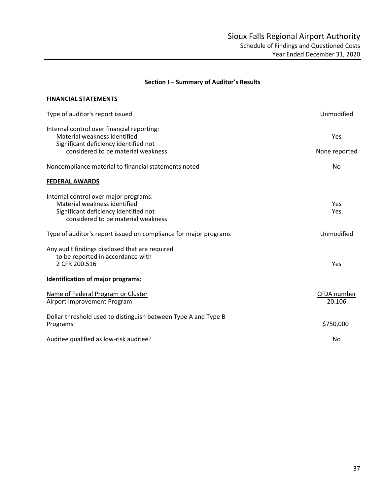<span id="page-40-0"></span>

| Section I - Summary of Auditor's Results                                                                                                             |                       |  |  |  |
|------------------------------------------------------------------------------------------------------------------------------------------------------|-----------------------|--|--|--|
| <b>FINANCIAL STATEMENTS</b>                                                                                                                          |                       |  |  |  |
| Type of auditor's report issued                                                                                                                      | Unmodified            |  |  |  |
| Internal control over financial reporting:<br>Material weakness identified<br>Significant deficiency identified not                                  | Yes                   |  |  |  |
| considered to be material weakness                                                                                                                   | None reported         |  |  |  |
| Noncompliance material to financial statements noted                                                                                                 | <b>No</b>             |  |  |  |
| <b>FEDERAL AWARDS</b>                                                                                                                                |                       |  |  |  |
| Internal control over major programs:<br>Material weakness identified<br>Significant deficiency identified not<br>considered to be material weakness | Yes<br>Yes            |  |  |  |
| Type of auditor's report issued on compliance for major programs                                                                                     | Unmodified            |  |  |  |
| Any audit findings disclosed that are required<br>to be reported in accordance with<br>2 CFR 200.516                                                 | Yes                   |  |  |  |
| Identification of major programs:                                                                                                                    |                       |  |  |  |
| Name of Federal Program or Cluster<br>Airport Improvement Program                                                                                    | CFDA number<br>20.106 |  |  |  |
| Dollar threshold used to distinguish between Type A and Type B<br>Programs                                                                           | \$750,000             |  |  |  |
| Auditee qualified as low-risk auditee?                                                                                                               | No                    |  |  |  |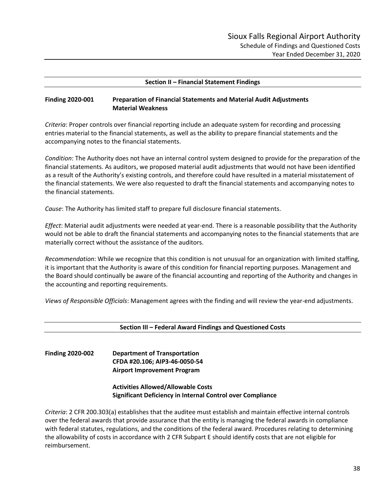#### **Section II – Financial Statement Findings**

### **Finding 2020-001 Preparation of Financial Statements and Material Audit Adjustments Material Weakness**

*Criteria*: Proper controls over financial reporting include an adequate system for recording and processing entries material to the financial statements, as well as the ability to prepare financial statements and the accompanying notes to the financial statements.

*Condition*: The Authority does not have an internal control system designed to provide for the preparation of the financial statements. As auditors, we proposed material audit adjustments that would not have been identified as a result of the Authority's existing controls, and therefore could have resulted in a material misstatement of the financial statements. We were also requested to draft the financial statements and accompanying notes to the financial statements.

*Cause*: The Authority has limited staff to prepare full disclosure financial statements.

*Effect*: Material audit adjustments were needed at year-end. There is a reasonable possibility that the Authority would not be able to draft the financial statements and accompanying notes to the financial statements that are materially correct without the assistance of the auditors.

*Recommendation*: While we recognize that this condition is not unusual for an organization with limited staffing, it is important that the Authority is aware of this condition for financial reporting purposes. Management and the Board should continually be aware of the financial accounting and reporting of the Authority and changes in the accounting and reporting requirements.

*Views of Responsible Officials*: Management agrees with the finding and will review the year-end adjustments.

**Finding 2020-002 Department of Transportation CFDA #20.106; AIP3-46-0050-54 Airport Improvement Program**

> **Activities Allowed/Allowable Costs Significant Deficiency in Internal Control over Compliance**

*Criteria*: 2 CFR 200.303(a) establishes that the auditee must establish and maintain effective internal controls over the federal awards that provide assurance that the entity is managing the federal awards in compliance with federal statutes, regulations, and the conditions of the federal award. Procedures relating to determining the allowability of costs in accordance with 2 CFR Subpart E should identify costs that are not eligible for reimbursement.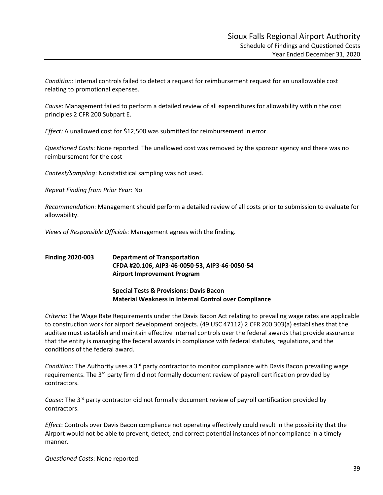*Condition*: Internal controls failed to detect a request for reimbursement request for an unallowable cost relating to promotional expenses.

*Cause*: Management failed to perform a detailed review of all expenditures for allowability within the cost principles 2 CFR 200 Subpart E.

*Effect:* A unallowed cost for \$12,500 was submitted for reimbursement in error.

*Questioned Costs*: None reported. The unallowed cost was removed by the sponsor agency and there was no reimbursement for the cost

*Context/Sampling*: Nonstatistical sampling was not used.

*Repeat Finding from Prior Year*: No

*Recommendation*: Management should perform a detailed review of all costs prior to submission to evaluate for allowability.

*Views of Responsible Officials*: Management agrees with the finding.

# **Finding 2020-003 Department of Transportation CFDA #20.106, AIP3-46-0050-53, AIP3-46-0050-54 Airport Improvement Program**

### **Special Tests & Provisions: Davis Bacon Material Weakness in Internal Control over Compliance**

*Criteria*: The Wage Rate Requirements under the Davis Bacon Act relating to prevailing wage rates are applicable to construction work for airport development projects. (49 USC 47112) 2 CFR 200.303(a) establishes that the auditee must establish and maintain effective internal controls over the federal awards that provide assurance that the entity is managing the federal awards in compliance with federal statutes, regulations, and the conditions of the federal award.

*Condition*: The Authority uses a 3rd party contractor to monitor compliance with Davis Bacon prevailing wage requirements. The 3<sup>rd</sup> party firm did not formally document review of payroll certification provided by contractors.

*Cause*: The 3rd party contractor did not formally document review of payroll certification provided by contractors.

*Effect*: Controls over Davis Bacon compliance not operating effectively could result in the possibility that the Airport would not be able to prevent, detect, and correct potential instances of noncompliance in a timely manner.

*Questioned Costs*: None reported.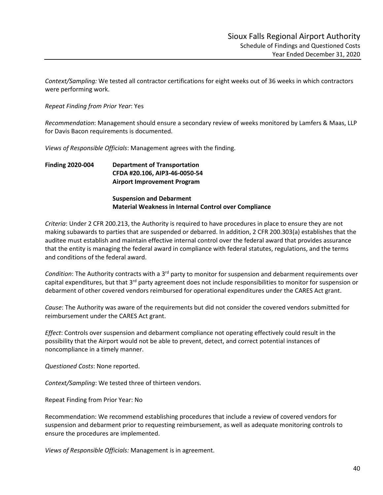*Context/Sampling:* We tested all contractor certifications for eight weeks out of 36 weeks in which contractors were performing work.

#### *Repeat Finding from Prior Year*: Yes

*Recommendation*: Management should ensure a secondary review of weeks monitored by Lamfers & Maas, LLP for Davis Bacon requirements is documented.

*Views of Responsible Officials*: Management agrees with the finding.

**Finding 2020-004 Department of Transportation CFDA #20.106, AIP3-46-0050-54 Airport Improvement Program Suspension and Debarment**

**Material Weakness in Internal Control over Compliance**

*Criteria*: Under 2 CFR 200.213, the Authority is required to have procedures in place to ensure they are not making subawards to parties that are suspended or debarred. In addition, 2 CFR 200.303(a) establishes that the auditee must establish and maintain effective internal control over the federal award that provides assurance that the entity is managing the federal award in compliance with federal statutes, regulations, and the terms and conditions of the federal award.

*Condition*: The Authority contracts with a 3<sup>rd</sup> party to monitor for suspension and debarment requirements over capital expenditures, but that 3<sup>rd</sup> party agreement does not include responsibilities to monitor for suspension or debarment of other covered vendors reimbursed for operational expenditures under the CARES Act grant.

*Cause*: The Authority was aware of the requirements but did not consider the covered vendors submitted for reimbursement under the CARES Act grant.

*Effect*: Controls over suspension and debarment compliance not operating effectively could result in the possibility that the Airport would not be able to prevent, detect, and correct potential instances of noncompliance in a timely manner.

*Questioned Costs*: None reported.

*Context/Sampling*: We tested three of thirteen vendors.

Repeat Finding from Prior Year: No

Recommendation: We recommend establishing procedures that include a review of covered vendors for suspension and debarment prior to requesting reimbursement, as well as adequate monitoring controls to ensure the procedures are implemented.

*Views of Responsible Officials:* Management is in agreement.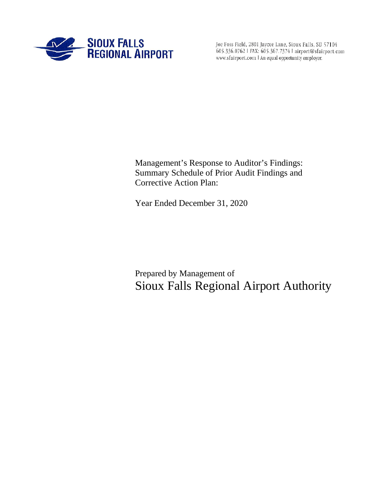

Joe Foss Field, 2801 Jaycee Lane, Sioux Falls, SD 57104 605.336.0762 | FAX: 605.367.7374 | airport@sfairport.com www.sfairport.com | An equal opportunity employer.

Management's Response to Auditor's Findings: Summary Schedule of Prior Audit Findings and Corrective Action Plan:

Year Ended December 31, 2020

Prepared by Management of Sioux Falls Regional Airport Authority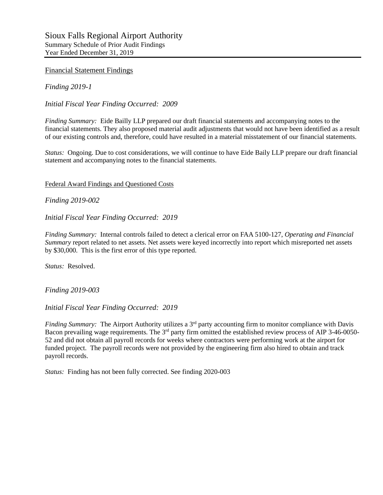Financial Statement Findings

*Finding 2019-1*

*Initial Fiscal Year Finding Occurred: 2009*

*Finding Summary:* Eide Bailly LLP prepared our draft financial statements and accompanying notes to the financial statements. They also proposed material audit adjustments that would not have been identified as a result of our existing controls and, therefore, could have resulted in a material misstatement of our financial statements.

*Status:* Ongoing. Due to cost considerations, we will continue to have Eide Baily LLP prepare our draft financial statement and accompanying notes to the financial statements.

Federal Award Findings and Questioned Costs

*Finding 2019-002*

*Initial Fiscal Year Finding Occurred: 2019*

*Finding Summary:* Internal controls failed to detect a clerical error on FAA 5100-127, *Operating and Financial Summary* report related to net assets. Net assets were keyed incorrectly into report which misreported net assets by \$30,000. This is the first error of this type reported.

*Status:* Resolved.

*Finding 2019-003*

*Initial Fiscal Year Finding Occurred: 2019*

*Finding Summary:* The Airport Authority utilizes a 3<sup>rd</sup> party accounting firm to monitor compliance with Davis Bacon prevailing wage requirements. The 3<sup>rd</sup> party firm omitted the established review process of AIP 3-46-0050-52 and did not obtain all payroll records for weeks where contractors were performing work at the airport for funded project. The payroll records were not provided by the engineering firm also hired to obtain and track payroll records.

*Status:* Finding has not been fully corrected. See finding 2020-003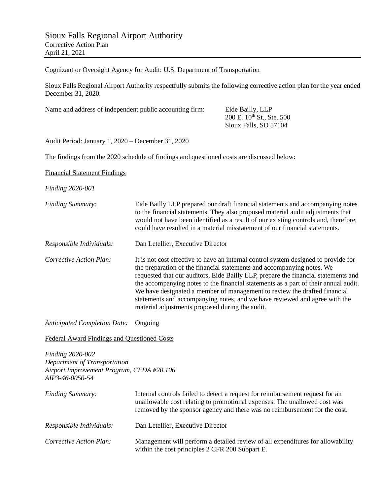Cognizant or Oversight Agency for Audit: U.S. Department of Transportation

Sioux Falls Regional Airport Authority respectfully submits the following corrective action plan for the year ended December 31, 2020.

Name and address of independent public accounting firm: Eide Bailly, LLP

200 E. 10<sup>th</sup> St., Ste. 500 Sioux Falls, SD 57104

Audit Period: January 1, 2020 – December 31, 2020

The findings from the 2020 schedule of findings and questioned costs are discussed below:

Financial Statement Findings

*Finding 2020-001*

| <b>Finding Summary:</b>  | Eide Bailly LLP prepared our draft financial statements and accompanying notes<br>to the financial statements. They also proposed material audit adjustments that<br>would not have been identified as a result of our existing controls and, therefore,<br>could have resulted in a material misstatement of our financial statements.                                                                                                                                                                                                                  |
|--------------------------|----------------------------------------------------------------------------------------------------------------------------------------------------------------------------------------------------------------------------------------------------------------------------------------------------------------------------------------------------------------------------------------------------------------------------------------------------------------------------------------------------------------------------------------------------------|
| Responsible Individuals: | Dan Letellier, Executive Director                                                                                                                                                                                                                                                                                                                                                                                                                                                                                                                        |
| Corrective Action Plan:  | It is not cost effective to have an internal control system designed to provide for<br>the preparation of the financial statements and accompanying notes. We<br>requested that our auditors, Eide Bailly LLP, prepare the financial statements and<br>the accompanying notes to the financial statements as a part of their annual audit.<br>We have designated a member of management to review the drafted financial<br>statements and accompanying notes, and we have reviewed and agree with the<br>material adjustments proposed during the audit. |

*Anticipated Completion Date:* Ongoing

Federal Award Findings and Questioned Costs

*Finding 2020-002 Department of Transportation Airport Improvement Program, CFDA #20.106 AIP3-46-0050-54*

| <b>Finding Summary:</b>  | Internal controls failed to detect a request for reimbursement request for an<br>unallowable cost relating to promotional expenses. The unallowed cost was<br>removed by the sponsor agency and there was no reimbursement for the cost. |
|--------------------------|------------------------------------------------------------------------------------------------------------------------------------------------------------------------------------------------------------------------------------------|
| Responsible Individuals: | Dan Letellier, Executive Director                                                                                                                                                                                                        |
| Corrective Action Plan:  | Management will perform a detailed review of all expenditures for allowability<br>within the cost principles 2 CFR 200 Subpart E.                                                                                                        |